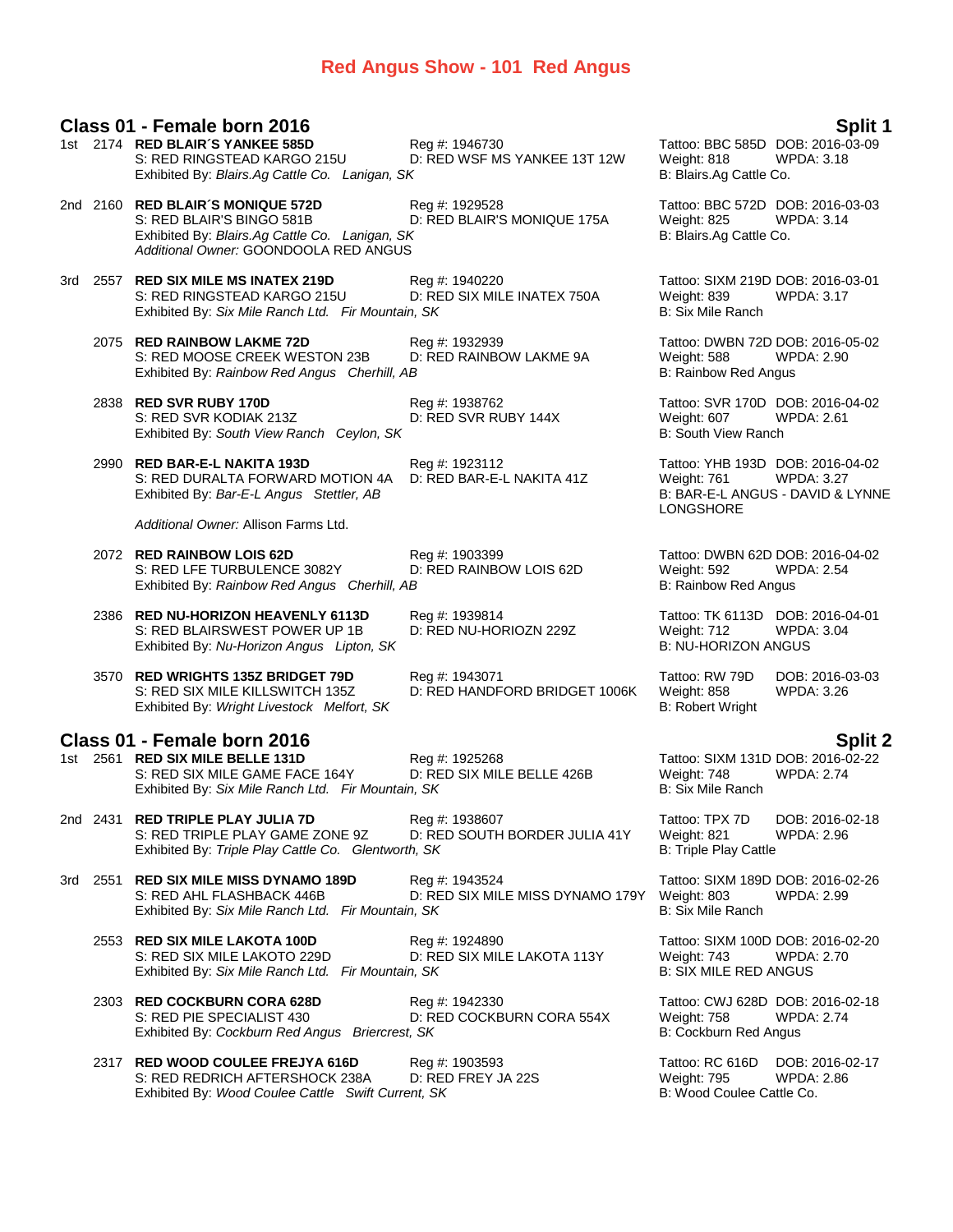### **Red Angus Show - 101 Red Angus**

#### **Class 01 - Female born 2016 Split 1**

| 1st | 2174 RED BLAIR'S YANKEE 585D<br>S: RED RINGSTEAD KARGO 215U<br>Exhibited By: Blairs.Ag Cattle Co. Lanigan, SK                                             | Reg #: 1946730<br>D: RED WSF MS YANKEE 13T 12W     | Tattoo: BBC 585D DOB: 2016-03-09<br>Weight: 818<br>B: Blairs.Ag Cattle Co.       | <b>WPDA: 3.18</b>                                     |
|-----|-----------------------------------------------------------------------------------------------------------------------------------------------------------|----------------------------------------------------|----------------------------------------------------------------------------------|-------------------------------------------------------|
|     | 2nd 2160 RED BLAIR'S MONIQUE 572D<br>S: RED BLAIR'S BINGO 581B<br>Exhibited By: Blairs.Ag Cattle Co. Lanigan, SK<br>Additional Owner: GOONDOOLA RED ANGUS | Reg #: 1929528<br>D: RED BLAIR'S MONIQUE 175A      | Tattoo: BBC 572D DOB: 2016-03-03<br>Weight: 825<br>B: Blairs.Ag Cattle Co.       | <b>WPDA: 3.14</b>                                     |
|     | 3rd 2557 RED SIX MILE MS INATEX 219D<br>S: RED RINGSTEAD KARGO 215U<br>Exhibited By: Six Mile Ranch Ltd. Fir Mountain, SK                                 | Reg #: 1940220<br>D: RED SIX MILE INATEX 750A      | Tattoo: SIXM 219D DOB: 2016-03-01<br>Weight: 839<br>B: Six Mile Ranch            | <b>WPDA: 3.17</b>                                     |
|     | 2075 RED RAINBOW LAKME 72D<br>S: RED MOOSE CREEK WESTON 23B<br>Exhibited By: Rainbow Red Angus Cherhill, AB                                               | Reg #: 1932939<br>D: RED RAINBOW LAKME 9A          | Tattoo: DWBN 72D DOB: 2016-05-02<br>Weight: 588<br><b>B: Rainbow Red Angus</b>   | WPDA: 2.90                                            |
|     | 2838 RED SVR RUBY 170D<br>S: RED SVR KODIAK 213Z<br>Exhibited By: South View Ranch Ceylon, SK                                                             | Reg #: 1938762<br>D: RED SVR RUBY 144X             | Tattoo: SVR 170D DOB: 2016-04-02<br>Weight: 607<br><b>B: South View Ranch</b>    | <b>WPDA: 2.61</b>                                     |
|     | 2990 RED BAR-E-L NAKITA 193D<br>S: RED DURALTA FORWARD MOTION 4A<br>Exhibited By: Bar-E-L Angus Stettler, AB                                              | Reg #: 1923112<br>D: RED BAR-E-L NAKITA 41Z        | Tattoo: YHB 193D DOB: 2016-04-02<br>Weight: 761<br>LONGSHORE                     | <b>WPDA: 3.27</b><br>B: BAR-E-L ANGUS - DAVID & LYNNE |
|     | Additional Owner: Allison Farms Ltd.                                                                                                                      |                                                    |                                                                                  |                                                       |
|     | 2072 RED RAINBOW LOIS 62D<br>S: RED LFE TURBULENCE 3082Y<br>Exhibited By: Rainbow Red Angus Cherhill, AB                                                  | Reg #: 1903399<br>D: RED RAINBOW LOIS 62D          | Tattoo: DWBN 62D DOB: 2016-04-02<br>Weight: 592<br>B: Rainbow Red Angus          | <b>WPDA: 2.54</b>                                     |
|     | 2386 RED NU-HORIZON HEAVENLY 6113D<br>S: RED BLAIRSWEST POWER UP 1B<br>Exhibited By: Nu-Horizon Angus Lipton, SK                                          | Reg #: 1939814<br>D: RED NU-HORIOZN 229Z           | Tattoo: TK 6113D DOB: 2016-04-01<br>Weight: 712<br><b>B: NU-HORIZON ANGUS</b>    | <b>WPDA: 3.04</b>                                     |
|     | 3570 RED WRIGHTS 135Z BRIDGET 79D<br>S: RED SIX MILE KILLSWITCH 135Z<br>Exhibited By: Wright Livestock Melfort, SK                                        | Reg #: 1943071<br>D: RED HANDFORD BRIDGET 1006K    | Tattoo: RW 79D<br>Weight: 858<br><b>B: Robert Wright</b>                         | DOB: 2016-03-03<br>WPDA: 3.26                         |
|     | Class 01 - Female born 2016                                                                                                                               |                                                    |                                                                                  | <b>Split 2</b>                                        |
|     | 1st 2561 RED SIX MILE BELLE 131D<br>S: RED SIX MILE GAME FACE 164Y<br>Exhibited By: Six Mile Ranch Ltd. Fir Mountain, SK                                  | Reg #: 1925268<br>D: RED SIX MILE BELLE 426B       | Tattoo: SIXM 131D DOB: 2016-02-22<br>Weight: 748<br>B: Six Mile Ranch            | <b>WPDA: 2.74</b>                                     |
|     | 2nd 2431 RED TRIPLE PLAY JULIA 7D<br>S: RED TRIPLE PLAY GAME ZONE 9Z<br>Exhibited By: Triple Play Cattle Co. Glentworth, SK                               | Reg #: 1938607<br>D: RED SOUTH BORDER JULIA 41Y    | Tattoo: TPX 7D<br>Weight: 821<br>B: Triple Play Cattle                           | DOB: 2016-02-18<br>WPDA: 2.96                         |
|     | 3rd 2551 RED SIX MILE MISS DYNAMO 189D<br>S: RED AHL FLASHBACK 446B<br>Exhibited By: Six Mile Ranch Ltd. Fir Mountain, SK                                 | Reg #: 1943524<br>D: RED SIX MILE MISS DYNAMO 179Y | Tattoo: SIXM 189D DOB: 2016-02-26<br>Weight: 803<br><b>B: Six Mile Ranch</b>     | WPDA: 2.99                                            |
|     | 2553 RED SIX MILE LAKOTA 100D<br>S: RED SIX MILE LAKOTO 229D<br>Exhibited By: Six Mile Ranch Ltd. Fir Mountain, SK                                        | Reg #: 1924890<br>D: RED SIX MILE LAKOTA 113Y      | Tattoo: SIXM 100D DOB: 2016-02-20<br>Weight: 743<br><b>B: SIX MILE RED ANGUS</b> | <b>WPDA: 2.70</b>                                     |
|     | 2303 RED COCKBURN CORA 628D<br>S: RED PIE SPECIALIST 430<br>Exhibited By: Cockburn Red Angus Briercrest, SK                                               | Reg #: 1942330<br>D: RED COCKBURN CORA 554X        | Tattoo: CWJ 628D DOB: 2016-02-18<br>Weight: 758<br>B: Cockburn Red Angus         | <b>WPDA: 2.74</b>                                     |
|     | 2317 RED WOOD COULEE FREJYA 616D<br>S: RED REDRICH AFTERSHOCK 238A<br>Exhibited By: Wood Coulee Cattle Swift Current, SK                                  | Reg #: 1903593<br>D: RED FREY JA 22S               | Tattoo: RC 616D DOB: 2016-02-17<br>Weight: 795<br>B: Wood Coulee Cattle Co.      | <b>WPDA: 2.86</b>                                     |
|     |                                                                                                                                                           |                                                    |                                                                                  |                                                       |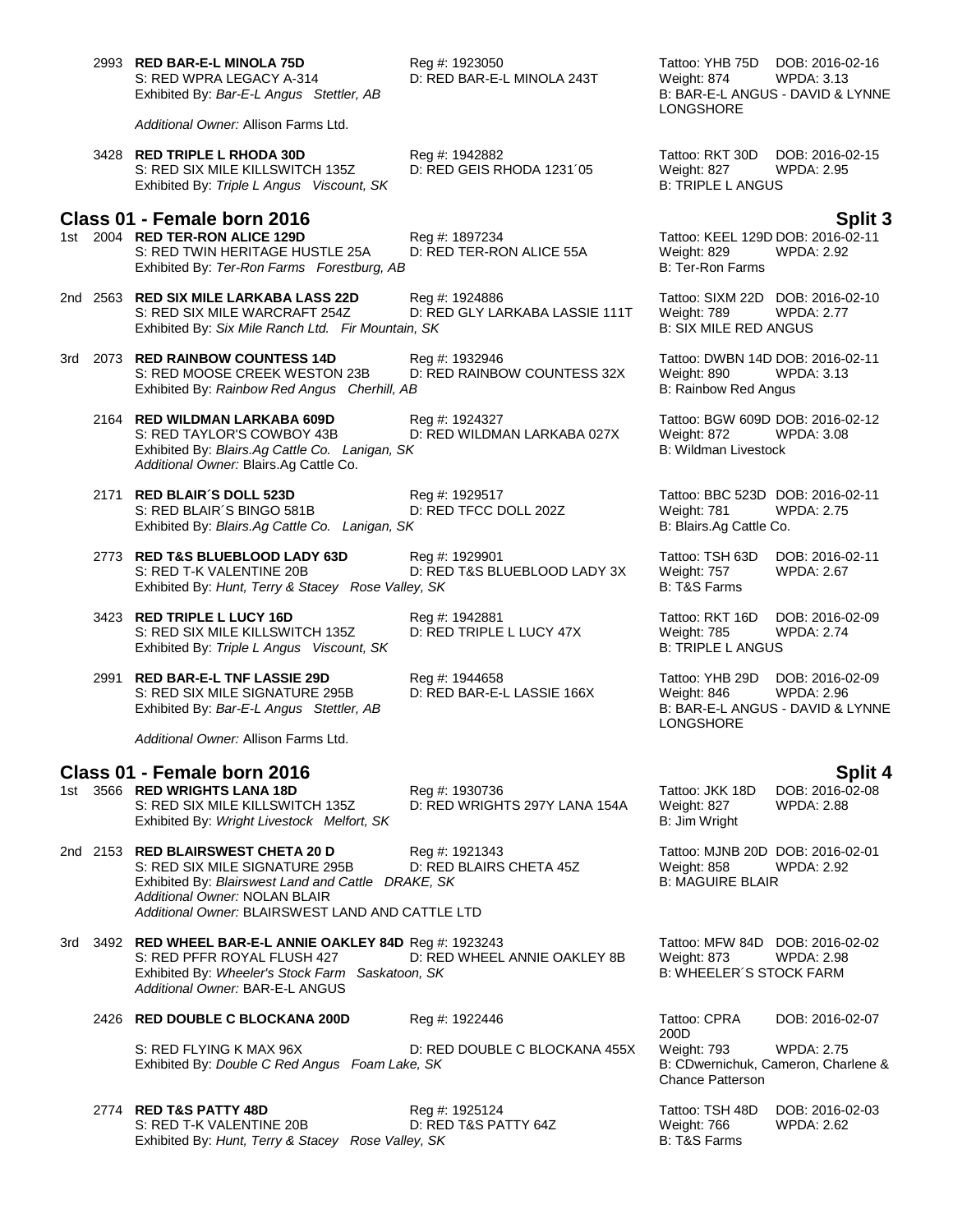2993 **RED BAR-E-L MINOLA 75D** Reg #: 1923050 Tattoo: YHB 75D DOB: 2016-02-16 Exhibited By: Bar-E-L Angus Stettler, AB

*Additional Owner:* Allison Farms Ltd.

3428 **RED TRIPLE L RHODA 30D** Reg #: 1942882 Tattoo: RKT 30D DOB: 2016-02-15 S: RED SIX MILE KILLSWITCH 135Z D: RED GEIS RHODA 1231<sup>'05</sup> Weight: 827 WPDA: 2.95 Exhibited By: Triple L Angus Viscount, SK B: TRIPLE L ANGUS

#### **Class 01 - Female born 2016 Split 3**

- 1st 2004 **RED TER-RON ALICE 129D**<br>11 S: RED TWIN HERITAGE HUSTLE 25A D: RED TER-RON ALICE 55A Weight: 829 WPDA: 2.92 S: RED TWIN HERITAGE HUSTLE 25A D: RED TER-RON ALICE 55A Weight: 829<br>
Exhibited By: Ter-Ron Farms Forestburg, AB B: Ter-Ron Farms Exhibited By: Ter-Ron Farms Forestburg, AB
- 2nd 2563 **RED SIX MILE LARKABA LASS 22D** Reg #: 1924886 Tattoo: SIXM 22D DOB: 2016-02-10<br>S: RED SIX MILE WARCRAFT 254Z D: RED GLY LARKABA LASSIE 111T Weight: 789 WPDA: 2.77 D: RED GLY LARKABA LASSIE 111T Weight: 789 WPDA: 2.77 Exhibited By: Six Mile Ranch Ltd. Fir Mountain, SK B: **B: SIX MILE RED ANGUS**
- 3rd 2073 **RED RAINBOW COUNTESS 14D** Reg #: 1932946 Tattoo: DWBN 14D DOB: 2016-02-11 S: RED MOOSE CREEK WESTON 23B D: RED RAINBOW COUNTESS 32X Weight: 890 WPDA: 3.13 Exhibited By: *Rainbow Red Angus Cherhill, AB* B: Rainbow Red Angus B: Rainbow Red Angus
	- 2164 **RED WILDMAN LARKABA 609D** Reg #: 1924327 Tattoo: BGW 609D DOB: 2016-02-12 S: RED TAYLOR'S COWBOY 43B D: RED WILDMAN LARKABA 027X Weight: 872 WPDA: 3.08 Exhibited By: *Blairs.Ag Cattle Co. Lanigan, SK* B: Wildman Livestock *Additional Owner:* Blairs.Ag Cattle Co.
	- 2171 **RED BLAIR´S DOLL 523D** Reg #: 1929517 Tattoo: BBC 523D DOB: 2016-02-11 S: RED BLAIR´S BINGO 581B D: RED TFCC DOLL 202Z Weight: 781 WPDA: 2.75 Exhibited By: *Blairs.Ag Cattle Co. Lanigan, SK* B: Blairs.Ag Cattle Co.
	- 2773 **RED T&S BLUEBLOOD LADY 63D** Reg #: 1929901 Tattoo: TSH 63D DOB: 2016-02-11 D: RED T&S BLUEBLOOD LADY 3X Exhibited By: *Hunt, Terry & Stacey Rose Valley, SK* B: T&S Farms
	- 3423 **RED TRIPLE L LUCY 16D**<br>
	S: RED SIX MILE KILLSWITCH 135Z D: RED TRIPLE L LUCY 47X Weight: 785 WPDA: 2.74 S: RED SIX MILE KILLSWITCH 135Z Exhibited By: Triple L Angus Viscount, SK B: TRIPLE L ANGUS

2991 **RED BAR-E-L TNF LASSIE 29D** Reg #: 1944658 Tattoo: YHB 29D DOB: 2016-02-09 S: RED SIX MILE SIGNATURE 295B D: RED BAR-E-L LASSIE 166X Weight: 846 WPDA: 2.96<br>Exhibited By: *Bar-E-L Angus Stettler*, *AB* D: RED BAR-E-L LASSIE 166X B: BAR-E-L ANGUS - DAVID & LYNNE Exhibited By: Bar-E-L Angus Stettler, AB

*Additional Owner:* Allison Farms Ltd.

#### **Class 01 - Female born 2016 Split 4**

1st 3566 **RED WRIGHTS LANA 18D** Reg #: 1930736 Tattoo: JKK 18D DOB: 2016-02-08 S: RED SIX MILE KILLSWITCH 135Z D: RED WRIGHTS 297Y LANA 154A Weight: 827 WPDA: 2.88 Exhibited By: Wright Livestock Melfort, SK B: Jim Wright B: Jim Wright

- 2nd 2153 **RED BLAIRSWEST CHETA 20 D** Reg #: 1921343 Tattoo: MJNB 20D DOB: 2016-02-01<br>S: RED SIX MILE SIGNATURE 295B D: RED BLAIRS CHETA 45Z Weight: 858 WPDA: 2.92 S: RED SIX MILE SIGNATURE 295B D: RED BLAIRS CHETA 45Z Weight: 858 WPDA: 2.92<br>Exhibited By: *Blairswest Land and Cattle DRAKE, SK* B: MAGUIRE BLAIR Exhibited By: Blairswest Land and Cattle DRAKE, SK *Additional Owner:* NOLAN BLAIR *Additional Owner:* BLAIRSWEST LAND AND CATTLE LTD
- 3rd 3492 **RED WHEEL BAR-E-L ANNIE OAKLEY 84D** Reg #: 1923243 Tattoo: MFW 84D DOB: 2016-02-02 D: RED WHEEL ANNIE OAKLEY 8B Weight: 873 WPDA: 2.98<br>D: WHEELER'S STOCK FARM Exhibited By: Wheeler's Stock Farm Saskatoon, SK *Additional Owner:* BAR-E-L ANGUS

# 2426 **RED DOUBLE C BLOCKANA 200D** Reg #: 1922446 Tattoo: CPRA

- S: RED FLYING K MAX 96X<br>
Exhibited By: Double C Red Angus Foam Lake, SK<br>
Exhibited By: Double C Red Angus Foam Lake, SK<br>
B: CDwernichuk, Cameron, Charlene & Exhibited By: *Double C Red Angus Foam Lake, SK*
- 2774 **RED T&S PATTY 48D** Reg #: 1925124 Tattoo: TSH 48D DOB: 2016-02-03 S: RED T-K VALENTINE 20B D: RED T&S PATTY 64Z Weight: 766 WPDA: 2.62 Exhibited By: *Hunt, Terry & Stacey Rose Valley, SK* B: T&S Farms

D: RED BAR-E-L MINOLA 243T Weight: 874 WPDA: 3.13<br>B: BAR-E-L ANGUS - DAVID & LYNNE LONGSHORE

LONGSHORE

200D DOB: 2016-02-07 Chance Patterson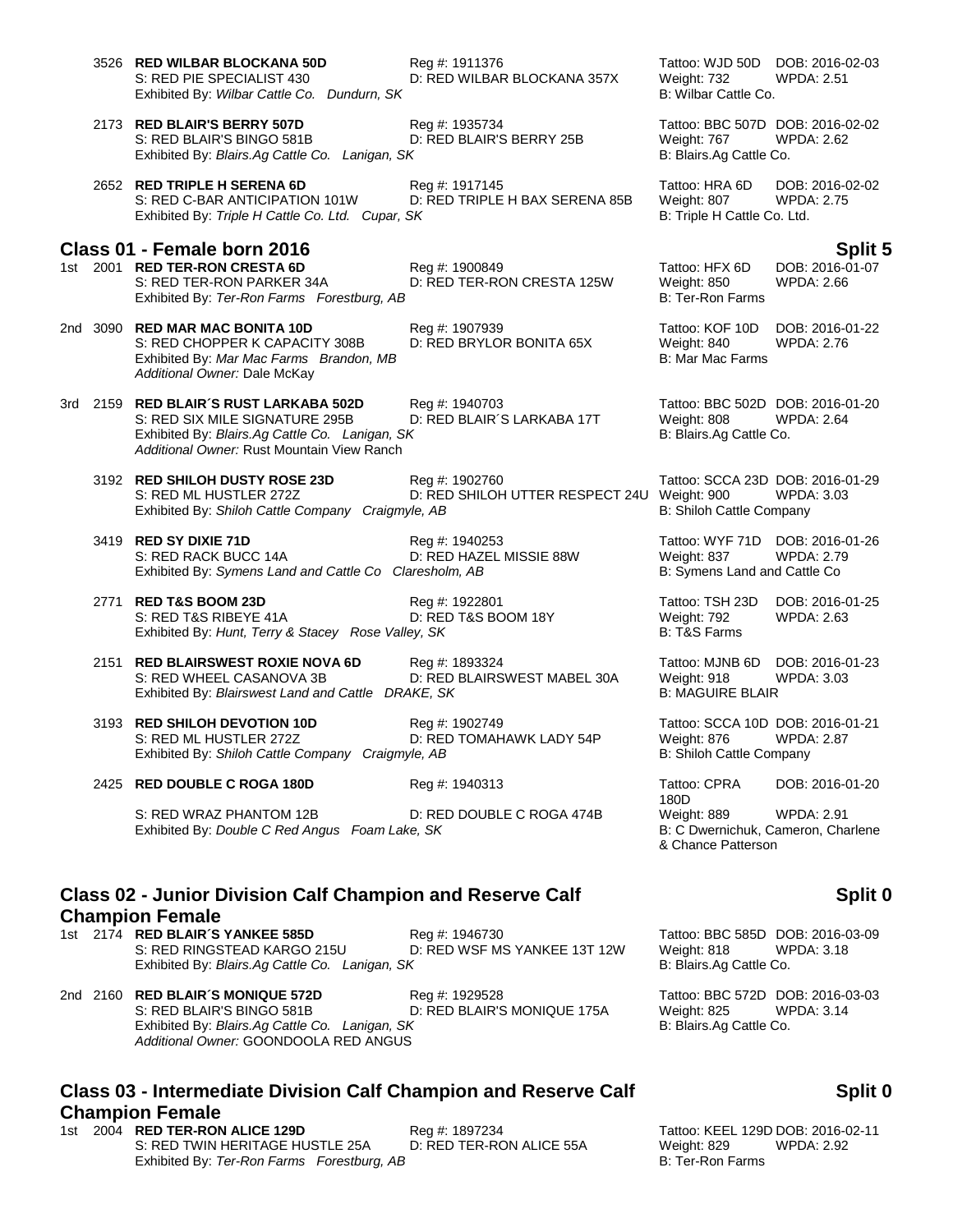3526 **RED WILBAR BLOCKANA 50D** Reg #: 1911376 **Tattoo: WJD 50D DOB: 2016-02-03**<br>S: RED PIE SPECIALIST 430 D: RED WILBAR BLOCKANA 357X Weight: 732 WPDA: 2.51 D: RED WILBAR BLOCKANA 357X Weight: 732 WPDA: 2.51<br>B: Wilbar Cattle Co. Exhibited By: Wilbar Cattle Co. Dundurn, SK 2173 **RED BLAIR'S BERRY 507D** Reg #: 1935734 Tattoo: BBC 507D DOB: 2016-02-02 S: RED BLAIR'S BINGO 581B<br>
Exhibited By: *Blairs.Ag Cattle Co. Lanigan, SK* BERRY 25B B: Blairs.Ag Cattle Co. Exhibited By: Blairs.Ag Cattle Co. Lanigan, SK 2652 **RED TRIPLE H SERENA 6D** Reg #: 1917145 Tattoo: HRA 6D DOB: 2016-02-02 S: RED C-BAR ANTICIPATION 101W D: RED TRIPLE H BAX SERENA 85B Weight: 807 WPDA: 2.75 Exhibited By: Triple H Cattle Co. Ltd. Cupar, SK B: Triple H Cattle Co. Ltd. **Class 01 - Female born 2016 Split 5** 1st 2001 **RED TER-RON CRESTA 6D** Reg #: 1900849 Reg **Example 2016** Tattoo: HFX 6D S: RED TER-RON PARKER 34A D: RED TER-RON CRESTA 125W Weight: 850 WPDA: 2.66<br>Exhibited By: Ter-Ron Farms Forestburg. AB<br>B: Ter-Ron Farms Exhibited By: Ter-Ron Farms Forestburg, AB 2nd 3090 **RED MAR MAC BONITA 10D** Reg #: 1907939 Tattoo: KOF 10D DOB: 2016-01-22 S: RED CHOPPER K CAPACITY 308B D: RED BRYLOR BONITA 65X Weight: 840 WPDA: 2.76<br>Exhibited By: Mar Mac Farms Brandon. MB Exhibited By: Mar Mac Farms Brandon, MB *Additional Owner:* Dale McKay 3rd 2159 **RED BLAIR´S RUST LARKABA 502D** Reg #: 1940703 Tattoo: BBC 502D DOB: 2016-01-20 S: RED SIX MILE SIGNATURE 295B D: RED BLAIR´S LARKABA 17T Weight: 808 WPDA: 2.64 Exhibited By: *Blairs.Ag Cattle Co. Lanigan, SK* B: Blairs.Ag Cattle Co. *Additional Owner:* Rust Mountain View Ranch 3192 **RED SHILOH DUSTY ROSE 23D** Reg #: 1902760 Tattoo: SCCA 23D DOB: 2016-01-29 S: RED ML HUSTLER 272Z D: RED SHILOH UTTER RESPECT 24U Weight: 900 WPDA: 3.03 Exhibited By: *Shiloh Cattle Company Craigmyle, AB* B: Shiloh Cattle Company Craigmyle, AB 3419 **RED SY DIXIE 71D** Reg #: 1940253 Tattoo: WYF 71D DOB: 2016-01-26 D: RED HAZEL MISSIE 88W Weight: 837 WPDA: 2.79<br>aresholm, AB Weight: 837 B: Symens Land and Cattle Co Exhibited By: Symens Land and Cattle Co Claresholm, AB 2771 **RED T&S BOOM 23D** Reg #: 1922801 Reg **Example 2771** RED T&S BOOM 23D DOB: 2016-01-25<br>S: RED T&S RIBEYE 41A D: RED T&S BOOM 18Y Weight: 792 WPDA: 2.63 D: RED T&S BOOM 18Y Weight: 792<br>ev. *SK* B: T&S Farms Exhibited By: *Hunt, Terry & Stacey Rose Valley, SK* 2151 **RED BLAIRSWEST ROXIE NOVA 6D** Reg #: 1893324 Tattoo: MJNB 6D DOB: 2016-01-23 S: RED WHEEL CASANOVA 3B D: RED BLAIRSWEST MABEL 30A Weight: 918 WPDA: 3.03 Exhibited By: *Blairswest Land and Cattle DRAKE, SK* B: MAGUIRE BLAIR 3193 **RED SHILOH DEVOTION 10D** Reg #: 1902749 Tattoo: SCCA 10D DOB: 2016-01-21 S: RED ML HUSTLER 272Z D: RED TOMAHAWK LADY 54P Weight: 876 WPDA: 2.87 Exhibited By: *Shiloh Cattle Company Craigmyle, AB* B: Shiloh Cattle Company Craigmyle, AB 2425 **RED DOUBLE C ROGA 180D** Reg #: 1940313 Tattoo: CPRA 180D<br>Weight: 889 S: RED WRAZ PHANTOM 12B D: RED DOUBLE C ROGA 474B Weight: 889 WPDA: 2.91<br>Exhibited By: Double C Red Angus Foam Lake, SK B: C Dwernichuk, Cameron, Charlene Exhibited By: *Double C Red Angus Foam Lake, SK* 

### **Class 02 - Junior Division Calf Champion and Reserve Calf Champion Female**

1st 2174 **RED BLAIR´S YANKEE 585D** Reg #: 1946730 Tattoo: BBC 585D DOB: 2016-03-09<br>S: RED RINGSTEAD KARGO 215U D: RED WSF MS YANKEE 13T 12W Weight: 818 WPDA: 3.18 D: RED WSF MS YANKEE 13T 12W Weight: 818 WF<br>K B: Blairs.Ag Cattle Co. Exhibited By: Blairs.Ag Cattle Co. Lanigan, SK

2nd 2160 **RED BLAIR´S MONIQUE 572D** Reg #: 1929528 Tattoo: BBC 572D DOB: 2016-03-03 D: RED BLAIR'S MONIQUE 175A Exhibited By: *Blairs.Ag Cattle Co. Lanigan, SK* B: Blairs.Ag Cattle Co. *Additional Owner:* GOONDOOLA RED ANGUS

# **Class 03 - Intermediate Division Calf Champion and Reserve Calf Champion Female**

1st 2004 **RED TER-RON ALICE 129D** Reg #: 1897234 Tattoo: KEEL 129D DOB: 2016-02-11<br>S: RED TWIN HERITAGE HUSTLE 25A D: RED TER-RON ALICE 55A Weight: 829 WPDA: 2.92 S: RED TWIN HERITAGE HUSTLE 25A D: RED TER-RON ALICE 55A Weight: 829 Exhibited By: Ter-Ron Farms Forestburg, AB **B: Ter-Ron Farms** B: Ter-Ron Farms

DOB: 2016-01-20 & Chance Patterson

# **Split 0**

# **Split 0**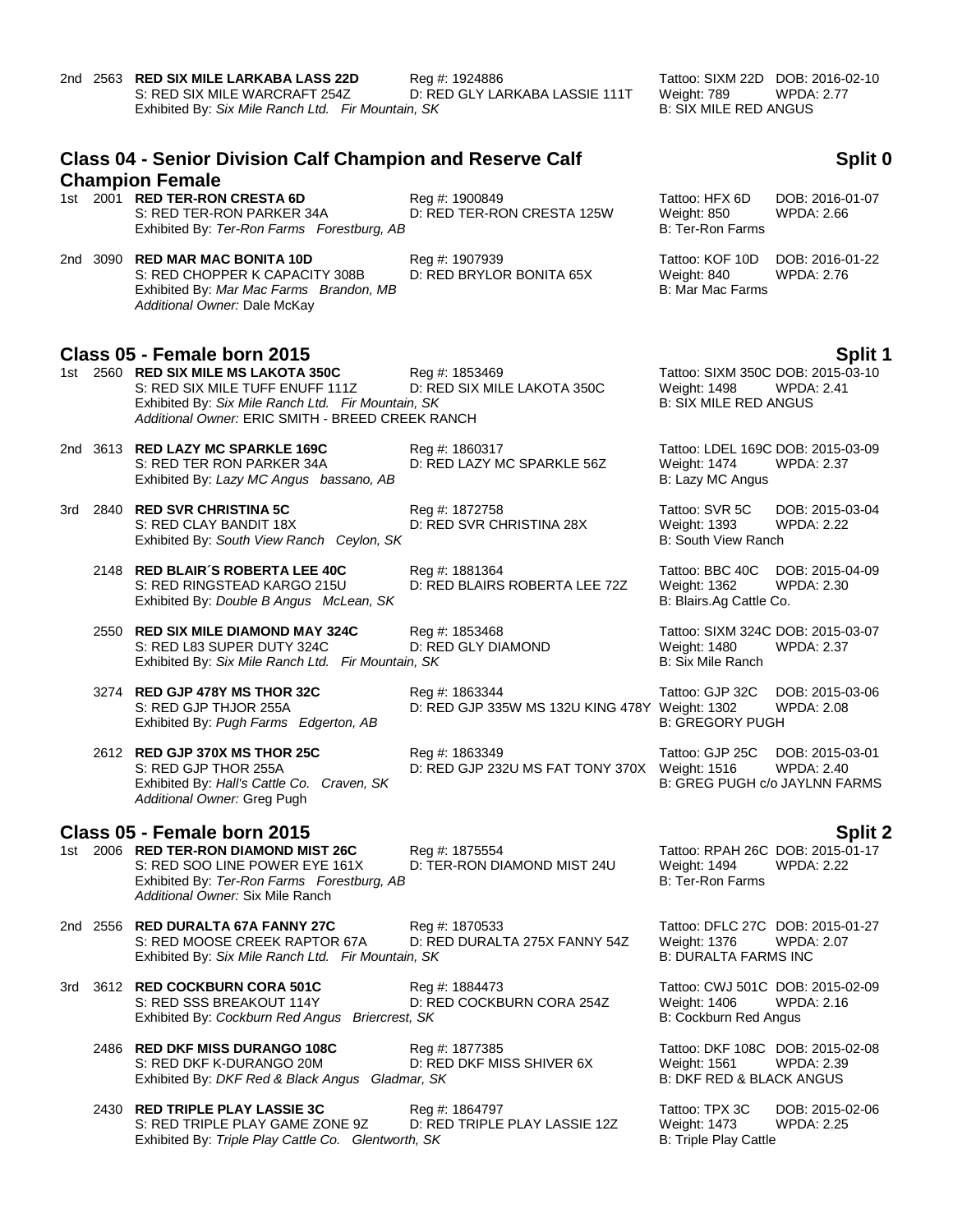|                                                                             | 2nd 2563 RED SIX MILE LARKABA LASS 22D<br>S: RED SIX MILE WARCRAFT 254Z<br>Exhibited By: Six Mile Ranch Ltd. Fir Mountain, SK                                                     | Reg #: 1924886<br>D: RED GLY LARKABA LASSIE 111T                 | Tattoo: SIXM 22D DOB: 2016-02-10<br>Weight: 789<br><b>B: SIX MILE RED ANGUS</b>          | <b>WPDA: 2.77</b>                    |  |  |  |
|-----------------------------------------------------------------------------|-----------------------------------------------------------------------------------------------------------------------------------------------------------------------------------|------------------------------------------------------------------|------------------------------------------------------------------------------------------|--------------------------------------|--|--|--|
| <b>Class 04 - Senior Division Calf Champion and Reserve Calf</b><br>Split 0 |                                                                                                                                                                                   |                                                                  |                                                                                          |                                      |  |  |  |
|                                                                             | <b>Champion Female</b><br>1st 2001 RED TER-RON CRESTA 6D<br>S: RED TER-RON PARKER 34A<br>Exhibited By: Ter-Ron Farms Forestburg, AB                                               | Reg #: 1900849<br>D: RED TER-RON CRESTA 125W                     | Tattoo: HFX 6D<br><b>Weight: 850</b><br><b>B: Ter-Ron Farms</b>                          | DOB: 2016-01-07<br><b>WPDA: 2.66</b> |  |  |  |
|                                                                             | 2nd 3090 RED MAR MAC BONITA 10D<br>S: RED CHOPPER K CAPACITY 308B<br>Exhibited By: Mar Mac Farms Brandon, MB<br>Additional Owner: Dale McKay                                      | Reg #: 1907939<br>D: RED BRYLOR BONITA 65X                       | Tattoo: KOF 10D<br>Weight: 840<br>B: Mar Mac Farms                                       | DOB: 2016-01-22<br>WPDA: 2.76        |  |  |  |
|                                                                             | Class 05 - Female born 2015                                                                                                                                                       |                                                                  |                                                                                          | Split 1                              |  |  |  |
|                                                                             | 1st 2560 RED SIX MILE MS LAKOTA 350C<br>S: RED SIX MILE TUFF ENUFF 111Z<br>Exhibited By: Six Mile Ranch Ltd. Fir Mountain, SK<br>Additional Owner: ERIC SMITH - BREED CREEK RANCH | Reg #: 1853469<br>D: RED SIX MILE LAKOTA 350C                    | Tattoo: SIXM 350C DOB: 2015-03-10<br><b>Weight: 1498</b><br><b>B: SIX MILE RED ANGUS</b> | <b>WPDA: 2.41</b>                    |  |  |  |
|                                                                             | 2nd 3613 RED LAZY MC SPARKLE 169C<br>S: RED TER RON PARKER 34A<br>Exhibited By: Lazy MC Angus bassano, AB                                                                         | Reg #: 1860317<br>D: RED LAZY MC SPARKLE 56Z                     | Tattoo: LDEL 169C DOB: 2015-03-09<br>Weight: 1474<br>B: Lazy MC Angus                    | <b>WPDA: 2.37</b>                    |  |  |  |
|                                                                             | 3rd 2840 RED SVR CHRISTINA 5C<br>S: RED CLAY BANDIT 18X<br>Exhibited By: South View Ranch Ceylon, SK                                                                              | Reg #: 1872758<br>D: RED SVR CHRISTINA 28X                       | Tattoo: SVR 5C<br>Weight: 1393<br><b>B: South View Ranch</b>                             | DOB: 2015-03-04<br><b>WPDA: 2.22</b> |  |  |  |
|                                                                             | 2148 RED BLAIR'S ROBERTA LEE 40C<br>S: RED RINGSTEAD KARGO 215U<br>Exhibited By: Double B Angus McLean, SK                                                                        | Reg #: 1881364<br>D: RED BLAIRS ROBERTA LEE 72Z                  | Tattoo: BBC 40C<br><b>Weight: 1362</b><br>B: Blairs.Ag Cattle Co.                        | DOB: 2015-04-09<br>WPDA: 2.30        |  |  |  |
|                                                                             | 2550 RED SIX MILE DIAMOND MAY 324C<br>S: RED L83 SUPER DUTY 324C<br>Exhibited By: Six Mile Ranch Ltd. Fir Mountain, SK                                                            | Reg #: 1853468<br>D: RED GLY DIAMOND                             | Tattoo: SIXM 324C DOB: 2015-03-07<br>Weight: 1480<br><b>B: Six Mile Ranch</b>            | <b>WPDA: 2.37</b>                    |  |  |  |
|                                                                             | 3274 RED GJP 478Y MS THOR 32C<br>S: RED GJP THJOR 255A<br>Exhibited By: Pugh Farms Edgerton, AB                                                                                   | Reg #: 1863344<br>D: RED GJP 335W MS 132U KING 478Y Weight: 1302 | Tattoo: GJP 32C<br><b>B: GREGORY PUGH</b>                                                | DOB: 2015-03-06<br>WPDA: 2.08        |  |  |  |
|                                                                             | 2612 RED GJP 370X MS THOR 25C<br>S: RED GJP THOR 255A<br>Exhibited By: Hall's Cattle Co. Craven, SK<br>Additional Owner: Greg Pugh                                                | Reg #: 1863349<br>D: RED GJP 232U MS FAT TONY 370X Weight: 1516  | Tattoo: GJP 25C<br>B: GREG PUGH c/o JAYLNN FARMS                                         | DOB: 2015-03-01<br>WPDA: 2.40        |  |  |  |
|                                                                             | Class 05 - Female born 2015                                                                                                                                                       |                                                                  |                                                                                          | <b>Split 2</b>                       |  |  |  |
|                                                                             | 1st 2006 RED TER-RON DIAMOND MIST 26C<br>S: RED SOO LINE POWER EYE 161X<br>Exhibited By: Ter-Ron Farms Forestburg, AB<br>Additional Owner: Six Mile Ranch                         | Reg #: 1875554<br>D: TER-RON DIAMOND MIST 24U                    | Tattoo: RPAH 26C DOB: 2015-01-17<br><b>Weight: 1494</b><br><b>B: Ter-Ron Farms</b>       | <b>WPDA: 2.22</b>                    |  |  |  |
|                                                                             | 2nd 2556 RED DURALTA 67A FANNY 27C<br>S: RED MOOSE CREEK RAPTOR 67A<br>Exhibited By: Six Mile Ranch Ltd. Fir Mountain, SK                                                         | Reg #: 1870533<br>D: RED DURALTA 275X FANNY 54Z                  | Tattoo: DFLC 27C DOB: 2015-01-27<br><b>Weight: 1376</b><br><b>B: DURALTA FARMS INC</b>   | WPDA: 2.07                           |  |  |  |
|                                                                             | 3rd 3612 RED COCKBURN CORA 501C<br>S: RED SSS BREAKOUT 114Y<br>Exhibited By: Cockburn Red Angus Briercrest, SK                                                                    | Reg #: 1884473<br>D: RED COCKBURN CORA 254Z                      | Tattoo: CWJ 501C DOB: 2015-02-09<br>Weight: 1406<br>B: Cockburn Red Angus                | WPDA: 2.16                           |  |  |  |
|                                                                             | 2486 RED DKF MISS DURANGO 108C<br>S: RED DKF K-DURANGO 20M<br>Exhibited By: DKF Red & Black Angus Gladmar, SK                                                                     | Reg #: 1877385<br>D: RED DKF MISS SHIVER 6X                      | Tattoo: DKF 108C DOB: 2015-02-08<br>Weight: 1561<br><b>B: DKF RED &amp; BLACK ANGUS</b>  | WPDA: 2.39                           |  |  |  |
|                                                                             | 2430 RED TRIPLE PLAY LASSIE 3C<br>S: RED TRIPLE PLAY GAME ZONE 9Z<br>Exhibited By: Triple Play Cattle Co. Glentworth, SK                                                          | Reg #: 1864797<br>D: RED TRIPLE PLAY LASSIE 12Z                  | Tattoo: TPX 3C<br><b>Weight: 1473</b><br>B: Triple Play Cattle                           | DOB: 2015-02-06<br>WPDA: 2.25        |  |  |  |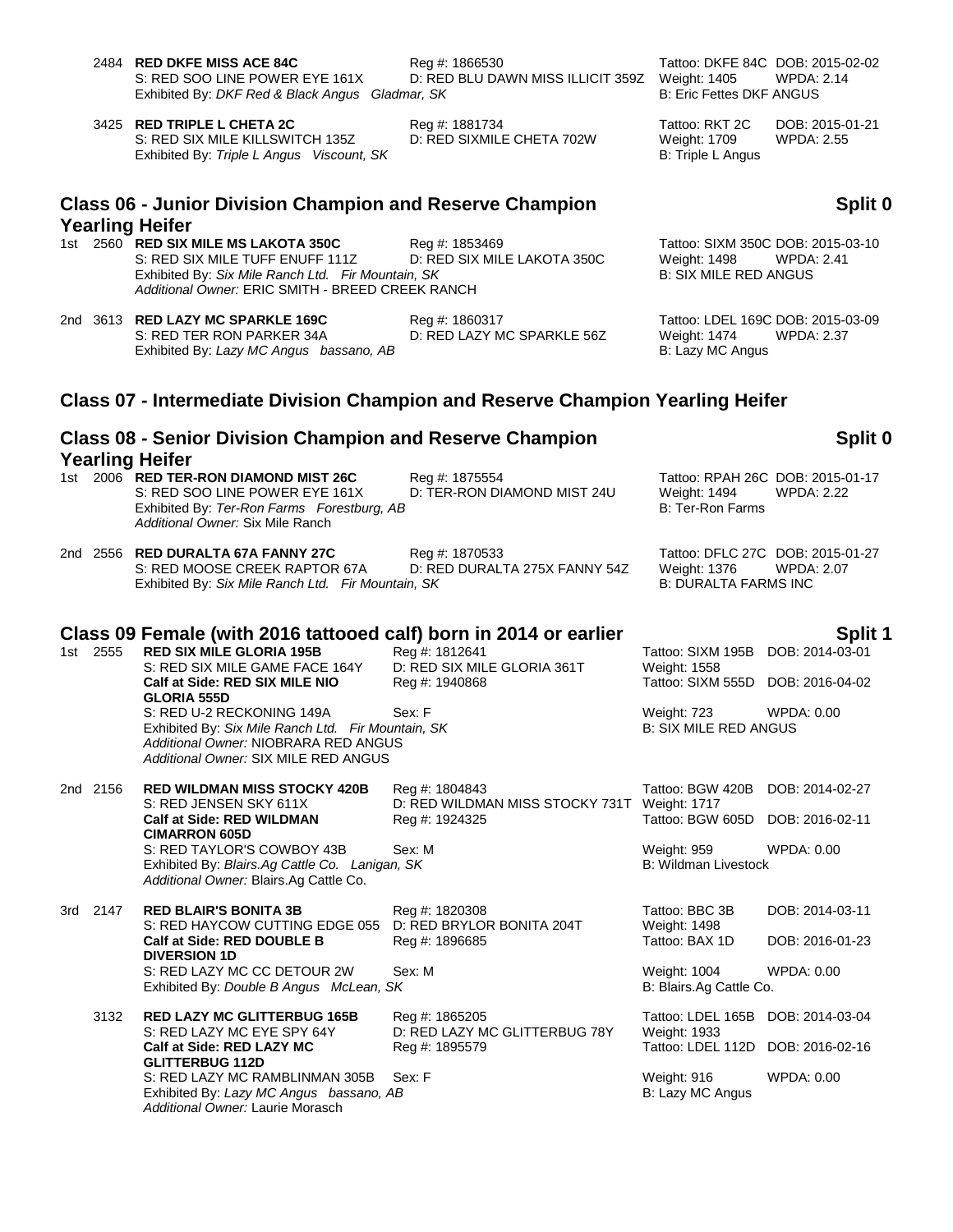|     |          | 2484 RED DKFE MISS ACE 84C<br>S: RED SOO LINE POWER EYE 161X<br>Exhibited By: DKF Red & Black Angus Gladmar, SK                                                                   | Reg #: 1866530<br>D: RED BLU DAWN MISS ILLICIT 359Z             | Weight: 1405<br><b>B: Eric Fettes DKF ANGUS</b>                        | Tattoo: DKFE 84C DOB: 2015-02-02<br><b>WPDA: 2.14</b>  |
|-----|----------|-----------------------------------------------------------------------------------------------------------------------------------------------------------------------------------|-----------------------------------------------------------------|------------------------------------------------------------------------|--------------------------------------------------------|
|     |          | 3425 RED TRIPLE L CHETA 2C<br>S: RED SIX MILE KILLSWITCH 135Z<br>Exhibited By: Triple L Angus Viscount, SK                                                                        | Reg #: 1881734<br>D: RED SIXMILE CHETA 702W                     | Tattoo: RKT 2C<br><b>Weight: 1709</b><br>B: Triple L Angus             | DOB: 2015-01-21<br><b>WPDA: 2.55</b>                   |
|     |          | <b>Class 06 - Junior Division Champion and Reserve Champion</b><br>Yearling Heifer                                                                                                |                                                                 |                                                                        | Split 0                                                |
|     |          | 1st 2560 RED SIX MILE MS LAKOTA 350C<br>S: RED SIX MILE TUFF ENUFF 111Z<br>Exhibited By: Six Mile Ranch Ltd. Fir Mountain, SK<br>Additional Owner: ERIC SMITH - BREED CREEK RANCH | Reg #: 1853469<br>D: RED SIX MILE LAKOTA 350C                   | Weight: 1498<br><b>B: SIX MILE RED ANGUS</b>                           | Tattoo: SIXM 350C DOB: 2015-03-10<br><b>WPDA: 2.41</b> |
|     |          | 2nd 3613 RED LAZY MC SPARKLE 169C<br>S: RED TER RON PARKER 34A<br>Exhibited By: Lazy MC Angus bassano, AB                                                                         | Reg #: 1860317<br>D: RED LAZY MC SPARKLE 56Z                    | <b>Weight: 1474</b><br>B: Lazy MC Angus                                | Tattoo: LDEL 169C DOB: 2015-03-09<br><b>WPDA: 2.37</b> |
|     |          | Class 07 - Intermediate Division Champion and Reserve Champion Yearling Heifer                                                                                                    |                                                                 |                                                                        |                                                        |
|     |          | <b>Class 08 - Senior Division Champion and Reserve Champion</b><br><b>Yearling Heifer</b>                                                                                         |                                                                 |                                                                        | Split 0                                                |
|     |          | 1st 2006 RED TER-RON DIAMOND MIST 26C<br>S: RED SOO LINE POWER EYE 161X<br>Exhibited By: Ter-Ron Farms Forestburg, AB<br>Additional Owner: Six Mile Ranch                         | Reg #: 1875554<br>D: TER-RON DIAMOND MIST 24U                   | Weight: 1494<br><b>B: Ter-Ron Farms</b>                                | Tattoo: RPAH 26C DOB: 2015-01-17<br><b>WPDA: 2.22</b>  |
|     |          | 2nd   2556 <b>RED DURALTA 67A FANNY 27C</b><br>S: RED MOOSE CREEK RAPTOR 67A<br>Exhibited By: Six Mile Ranch Ltd. Fir Mountain, SK                                                | Reg #: 1870533<br>D: RED DURALTA 275X FANNY 54Z                 | <b>Weight: 1376</b><br><b>B: DURALTA FARMS INC</b>                     | Tattoo: DFLC 27C DOB: 2015-01-27<br><b>WPDA: 2.07</b>  |
|     |          | Class 09 Female (with 2016 tattooed calf) born in 2014 or earlier                                                                                                                 |                                                                 |                                                                        | Split 1                                                |
|     | 1st 2555 | <b>RED SIX MILE GLORIA 195B</b><br>S: RED SIX MILE GAME FACE 164Y<br>Calf at Side: RED SIX MILE NIO<br><b>GLORIA 555D</b>                                                         | Reg #: 1812641<br>D: RED SIX MILE GLORIA 361T<br>Reg #: 1940868 | Tattoo: SIXM 195B<br>Weight: 1558<br>Tattoo: SIXM 555D DOB: 2016-04-02 | DOB: 2014-03-01                                        |
|     |          | S: RED U-2 RECKONING 149A<br>Exhibited By: Six Mile Ranch Ltd. Fir Mountain, SK<br>Additional Owner: NIOBRARA RED ANGUS<br>Additional Owner: SIX MILE RED ANGUS                   | Sex: F                                                          | <b>Weight: 723</b><br><b>B: SIX MILE RED ANGUS</b>                     | WPDA: 0.00                                             |
|     | 2nd 2156 | <b>RED WILDMAN MISS STOCKY 420B</b><br>S: RED JENSEN SKY 611X                                                                                                                     | Reg #: 1804843<br>D: RED WILDMAN MISS STOCKY 731T Weight: 1717  | Tattoo: BGW 420B                                                       | DOB: 2014-02-27                                        |
|     |          | <b>Calf at Side: RED WILDMAN</b><br><b>CIMARRON 605D</b>                                                                                                                          | Reg #: 1924325                                                  | Tattoo: BGW 605D                                                       | DOB: 2016-02-11                                        |
|     |          | S: RED TAYLOR'S COWBOY 43B<br>Exhibited By: Blairs.Ag Cattle Co. Lanigan, SK<br>Additional Owner: Blairs.Ag Cattle Co.                                                            | Sex: M                                                          | <b>Weight: 959</b><br><b>B: Wildman Livestock</b>                      | WPDA: 0.00                                             |
| 3rd | 2147     | <b>RED BLAIR'S BONITA 3B</b><br>S: RED HAYCOW CUTTING EDGE 055                                                                                                                    | Reg #: 1820308<br>D: RED BRYLOR BONITA 204T                     | Tattoo: BBC 3B<br>Weight: 1498                                         | DOB: 2014-03-11                                        |
|     |          | Calf at Side: RED DOUBLE B<br><b>DIVERSION 1D</b>                                                                                                                                 | Reg #: 1896685                                                  | Tattoo: BAX 1D                                                         | DOB: 2016-01-23                                        |
|     |          | S: RED LAZY MC CC DETOUR 2W<br>Exhibited By: Double B Angus McLean, SK                                                                                                            | Sex: M                                                          | Weight: 1004<br>B: Blairs.Ag Cattle Co.                                | <b>WPDA: 0.00</b>                                      |
|     | 3132     | <b>RED LAZY MC GLITTERBUG 165B</b><br>S: RED LAZY MC EYE SPY 64Y                                                                                                                  | Reg #: 1865205<br>D: RED LAZY MC GLITTERBUG 78Y                 | Tattoo: LDEL 165B<br>Weight: 1933                                      | DOB: 2014-03-04                                        |
|     |          | Calf at Side: RED LAZY MC<br><b>GLITTERBUG 112D</b>                                                                                                                               | Reg #: 1895579                                                  | Tattoo: LDEL 112D                                                      | DOB: 2016-02-16                                        |
|     |          | S: RED LAZY MC RAMBLINMAN 305B<br>Exhibited By: Lazy MC Angus bassano, AB<br>Additional Owner: Laurie Morasch                                                                     | Sex: F                                                          | Weight: 916<br>B: Lazy MC Angus                                        | <b>WPDA: 0.00</b>                                      |
|     |          |                                                                                                                                                                                   |                                                                 |                                                                        |                                                        |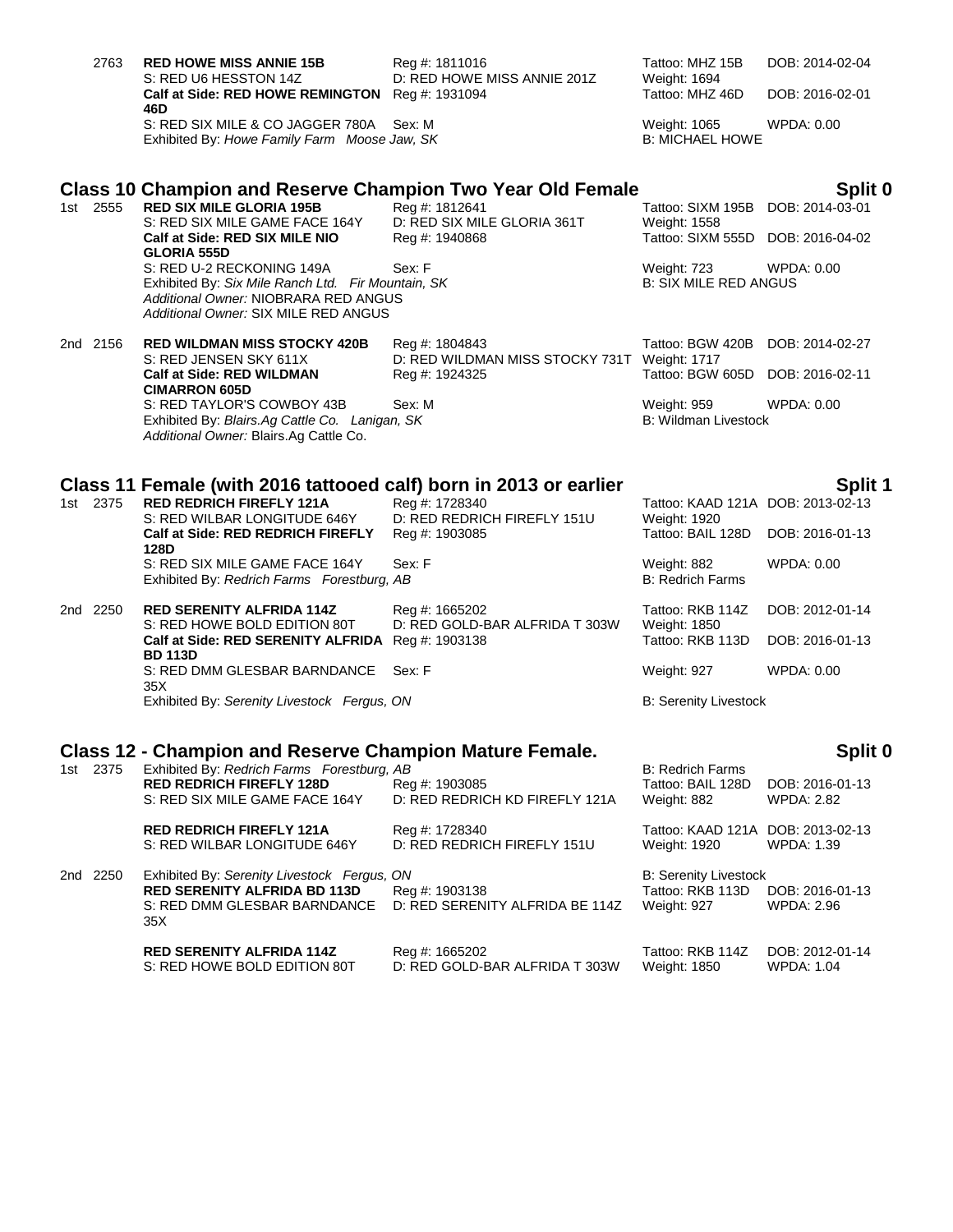| 2763     | <b>RED HOWE MISS ANNIE 15B</b><br>S: RED U6 HESSTON 14Z                                                                                       | Reg #: 1811016<br>D: RED HOWE MISS ANNIE 201Z                  | Tattoo: MHZ 15B<br>Weight: 1694                                 | DOB: 2014-02-04                      |
|----------|-----------------------------------------------------------------------------------------------------------------------------------------------|----------------------------------------------------------------|-----------------------------------------------------------------|--------------------------------------|
|          | Calf at Side: RED HOWE REMINGTON Reg #: 1931094<br>46D                                                                                        |                                                                | Tattoo: MHZ 46D                                                 | DOB: 2016-02-01                      |
|          | S: RED SIX MILE & CO JAGGER 780A<br>Exhibited By: Howe Family Farm Moose Jaw, SK                                                              | Sex: M                                                         | Weight: 1065<br><b>B: MICHAEL HOWE</b>                          | WPDA: 0.00                           |
|          | Class 10 Champion and Reserve Champion Two Year Old Female                                                                                    |                                                                |                                                                 | Split 0                              |
| 1st 2555 | <b>RED SIX MILE GLORIA 195B</b><br>S: RED SIX MILE GAME FACE 164Y<br>Calf at Side: RED SIX MILE NIO                                           | Reg #: 1812641<br>D: RED SIX MILE GLORIA 361T                  | Tattoo: SIXM 195B<br>Weight: 1558<br>Tattoo: SIXM 555D          | DOB: 2014-03-01<br>DOB: 2016-04-02   |
|          | <b>GLORIA 555D</b><br>S: RED U-2 RECKONING 149A<br>Exhibited By: Six Mile Ranch Ltd. Fir Mountain, SK<br>Additional Owner: NIOBRARA RED ANGUS | Reg #: 1940868<br>Sex: F                                       | <b>Weight: 723</b><br><b>B: SIX MILE RED ANGUS</b>              | WPDA: 0.00                           |
|          | Additional Owner: SIX MILE RED ANGUS                                                                                                          |                                                                |                                                                 |                                      |
| 2nd 2156 | <b>RED WILDMAN MISS STOCKY 420B</b><br>S: RED JENSEN SKY 611X                                                                                 | Reg #: 1804843<br>D: RED WILDMAN MISS STOCKY 731T Weight: 1717 | Tattoo: BGW 420B                                                | DOB: 2014-02-27                      |
|          | <b>Calf at Side: RED WILDMAN</b><br><b>CIMARRON 605D</b>                                                                                      | Reg #: 1924325                                                 | Tattoo: BGW 605D                                                | DOB: 2016-02-11                      |
|          | S: RED TAYLOR'S COWBOY 43B<br>Exhibited By: Blairs.Ag Cattle Co. Lanigan, SK<br>Additional Owner: Blairs.Ag Cattle Co.                        | Sex: M                                                         | Weight: 959<br><b>B: Wildman Livestock</b>                      | <b>WPDA: 0.00</b>                    |
|          |                                                                                                                                               |                                                                |                                                                 |                                      |
| 1st 2375 | Class 11 Female (with 2016 tattooed calf) born in 2013 or earlier<br><b>RED REDRICH FIREFLY 121A</b>                                          | Reg #: 1728340                                                 | Tattoo: KAAD 121A DOB: 2013-02-13                               | Split 1                              |
|          | S: RED WILBAR LONGITUDE 646Y<br>Calf at Side: RED REDRICH FIREFLY<br>128D                                                                     | D: RED REDRICH FIREFLY 151U<br>Reg #: 1903085                  | Weight: 1920<br>Tattoo: BAIL 128D                               | DOB: 2016-01-13                      |
|          | S: RED SIX MILE GAME FACE 164Y<br>Exhibited By: Redrich Farms Forestburg, AB                                                                  | Sex: F                                                         | Weight: 882<br><b>B: Redrich Farms</b>                          | <b>WPDA: 0.00</b>                    |
| 2nd 2250 | <b>RED SERENITY ALFRIDA 114Z</b><br>S: RED HOWE BOLD EDITION 80T                                                                              | Reg #: 1665202<br>D: RED GOLD-BAR ALFRIDA T 303W               | Tattoo: RKB 114Z                                                | DOB: 2012-01-14                      |
|          | Calf at Side: RED SERENITY ALFRIDA Reg #: 1903138<br><b>BD 113D</b>                                                                           |                                                                | Weight: 1850<br>Tattoo: RKB 113D                                | DOB: 2016-01-13                      |
|          | S: RED DMM GLESBAR BARNDANCE<br>35X                                                                                                           | Sex: F                                                         | Weight: 927                                                     | WPDA: 0.00                           |
|          | Exhibited By: Serenity Livestock Fergus, ON                                                                                                   |                                                                | <b>B: Serenity Livestock</b>                                    |                                      |
|          | Class 12 - Champion and Reserve Champion Mature Female.                                                                                       |                                                                |                                                                 | Split 0                              |
| 1st 2375 | Exhibited By: Redrich Farms Forestburg, AB<br><b>RED REDRICH FIREFLY 128D</b><br>S: RED SIX MILE GAME FACE 164Y                               | Reg #: 1903085<br>D: RED REDRICH KD FIREFLY 121A               | <b>B: Redrich Farms</b><br>Tattoo: BAIL 128D<br>Weight: 882     | DOB: 2016-01-13<br><b>WPDA: 2.82</b> |
|          | <b>RED REDRICH FIREFLY 121A</b><br>S: RED WILBAR LONGITUDE 646Y                                                                               | Reg #: 1728340<br>D: RED REDRICH FIREFLY 151U                  | Tattoo: KAAD 121A DOB: 2013-02-13<br>Weight: 1920               | WPDA: 1.39                           |
| 2nd 2250 | Exhibited By: Serenity Livestock Fergus, ON<br><b>RED SERENITY ALFRIDA BD 113D</b><br>S: RED DMM GLESBAR BARNDANCE<br>35X                     | Reg #: 1903138<br>D: RED SERENITY ALFRIDA BE 114Z              | <b>B: Serenity Livestock</b><br>Tattoo: RKB 113D<br>Weight: 927 | DOB: 2016-01-13<br>WPDA: 2.96        |
|          | <b>RED SERENITY ALFRIDA 114Z</b>                                                                                                              | Reg #: 1665202                                                 | Tattoo: RKB 114Z                                                | DOB: 2012-01-14                      |

S: RED HOWE BOLD EDITION 80T D: RED GOLD-BAR ALFRIDA T 303W Weight: 1850 WPDA: 1.04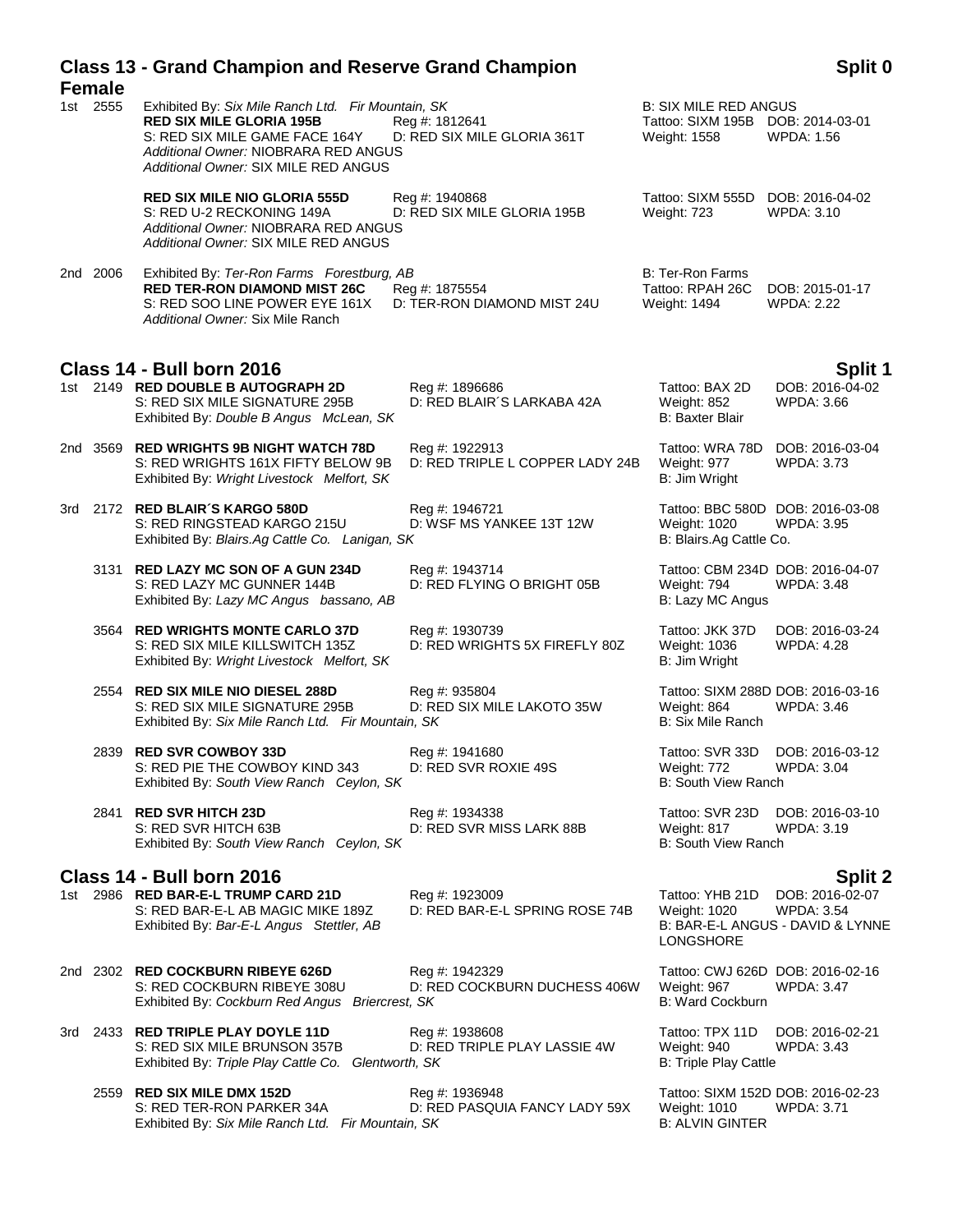| <b>Female</b> | <b>Class 13 - Grand Champion and Reserve Grand Champion</b>                                                                                                                                             |                                                   |                                                                                   | Split 0                                                           |
|---------------|---------------------------------------------------------------------------------------------------------------------------------------------------------------------------------------------------------|---------------------------------------------------|-----------------------------------------------------------------------------------|-------------------------------------------------------------------|
| 1st 2555      | Exhibited By: Six Mile Ranch Ltd. Fir Mountain, SK<br><b>RED SIX MILE GLORIA 195B</b><br>S: RED SIX MILE GAME FACE 164Y<br>Additional Owner: NIOBRARA RED ANGUS<br>Additional Owner: SIX MILE RED ANGUS | Reg #: 1812641<br>D: RED SIX MILE GLORIA 361T     | <b>B: SIX MILE RED ANGUS</b><br>Tattoo: SIXM 195B DOB: 2014-03-01<br>Weight: 1558 | <b>WPDA: 1.56</b>                                                 |
|               | <b>RED SIX MILE NIO GLORIA 555D</b><br>S: RED U-2 RECKONING 149A<br>Additional Owner: NIOBRARA RED ANGUS<br>Additional Owner: SIX MILE RED ANGUS                                                        | Reg #: 1940868<br>D: RED SIX MILE GLORIA 195B     | Tattoo: SIXM 555D DOB: 2016-04-02<br>Weight: 723                                  | WPDA: 3.10                                                        |
| 2nd 2006      | Exhibited By: Ter-Ron Farms Forestburg, AB<br><b>RED TER-RON DIAMOND MIST 26C</b><br>S: RED SOO LINE POWER EYE 161X<br>Additional Owner: Six Mile Ranch                                                 | Reg #: 1875554<br>D: TER-RON DIAMOND MIST 24U     | B: Ter-Ron Farms<br>Tattoo: RPAH 26C<br>Weight: 1494                              | DOB: 2015-01-17<br><b>WPDA: 2.22</b>                              |
|               | Class 14 - Bull born 2016                                                                                                                                                                               |                                                   |                                                                                   | Split 1                                                           |
|               | 1st 2149 RED DOUBLE B AUTOGRAPH 2D<br>S: RED SIX MILE SIGNATURE 295B<br>Exhibited By: Double B Angus McLean, SK                                                                                         | Reg #: 1896686<br>D: RED BLAIR'S LARKABA 42A      | Tattoo: BAX 2D<br>Weight: 852<br><b>B: Baxter Blair</b>                           | DOB: 2016-04-02<br>WPDA: 3.66                                     |
|               | 2nd 3569 RED WRIGHTS 9B NIGHT WATCH 78D<br>S: RED WRIGHTS 161X FIFTY BELOW 9B<br>Exhibited By: Wright Livestock Melfort, SK                                                                             | Reg #: 1922913<br>D: RED TRIPLE L COPPER LADY 24B | Tattoo: WRA 78D<br>Weight: 977<br>B: Jim Wright                                   | DOB: 2016-03-04<br><b>WPDA: 3.73</b>                              |
|               | 3rd 2172 RED BLAIR'S KARGO 580D<br>S: RED RINGSTEAD KARGO 215U<br>Exhibited By: Blairs.Ag Cattle Co. Lanigan, SK                                                                                        | Reg #: 1946721<br>D: WSF MS YANKEE 13T 12W        | Weight: 1020<br>B: Blairs.Ag Cattle Co.                                           | Tattoo: BBC 580D DOB: 2016-03-08<br>WPDA: 3.95                    |
|               | 3131 RED LAZY MC SON OF A GUN 234D<br>S: RED LAZY MC GUNNER 144B<br>Exhibited By: Lazy MC Angus bassano, AB                                                                                             | Reg #: 1943714<br>D: RED FLYING O BRIGHT 05B      | Weight: 794<br>B: Lazy MC Angus                                                   | Tattoo: CBM 234D DOB: 2016-04-07<br><b>WPDA: 3.48</b>             |
|               | 3564 RED WRIGHTS MONTE CARLO 37D<br>S: RED SIX MILE KILLSWITCH 135Z<br>Exhibited By: Wright Livestock Melfort, SK                                                                                       | Reg #: 1930739<br>D: RED WRIGHTS 5X FIREFLY 80Z   | Tattoo: JKK 37D<br>Weight: 1036<br>B: Jim Wright                                  | DOB: 2016-03-24<br><b>WPDA: 4.28</b>                              |
|               | 2554 RED SIX MILE NIO DIESEL 288D<br>S: RED SIX MILE SIGNATURE 295B<br>Exhibited By: Six Mile Ranch Ltd. Fir Mountain, SK                                                                               | Reg #: 935804<br>D: RED SIX MILE LAKOTO 35W       | Weight: 864<br>B: Six Mile Ranch                                                  | Tattoo: SIXM 288D DOB: 2016-03-16<br>WPDA: 3.46                   |
|               | 2839 RED SVR COWBOY 33D<br>S: RED PIE THE COWBOY KIND 343<br>Exhibited By: South View Ranch Ceylon, SK                                                                                                  | Reg #: 1941680<br>D: RED SVR ROXIE 49S            | Tattoo: SVR 33D<br>Weight: 772<br><b>B: South View Ranch</b>                      | DOB: 2016-03-12<br><b>WPDA: 3.04</b>                              |
|               | 2841 RED SVR HITCH 23D<br>S: RED SVR HITCH 63B<br>Exhibited By: South View Ranch Ceylon, SK                                                                                                             | Reg #: 1934338<br>D: RED SVR MISS LARK 88B        | Tattoo: SVR 23D<br>Weight: 817<br><b>B: South View Ranch</b>                      | DOB: 2016-03-10<br>WPDA: 3.19                                     |
|               | Class 14 - Bull born 2016                                                                                                                                                                               |                                                   |                                                                                   | <b>Split 2</b>                                                    |
|               | 1st 2986 RED BAR-E-L TRUMP CARD 21D<br>S: RED BAR-E-L AB MAGIC MIKE 189Z<br>Exhibited By: Bar-E-L Angus Stettler, AB                                                                                    | Reg #: 1923009<br>D: RED BAR-E-L SPRING ROSE 74B  | Tattoo: YHB 21D<br><b>Weight: 1020</b><br>LONGSHORE                               | DOB: 2016-02-07<br>WPDA: 3.54<br>B: BAR-E-L ANGUS - DAVID & LYNNE |
|               | 2nd 2302 RED COCKBURN RIBEYE 626D<br>S: RED COCKBURN RIBEYE 308U<br>Exhibited By: Cockburn Red Angus Briercrest, SK                                                                                     | Reg #: 1942329<br>D: RED COCKBURN DUCHESS 406W    | Weight: 967<br>B: Ward Cockburn                                                   | Tattoo: CWJ 626D DOB: 2016-02-16<br>WPDA: 3.47                    |
|               | 3rd 2433 RED TRIPLE PLAY DOYLE 11D<br>S: RED SIX MILE BRUNSON 357B<br>Exhibited By: Triple Play Cattle Co. Glentworth, SK                                                                               | Reg #: 1938608<br>D: RED TRIPLE PLAY LASSIE 4W    | Tattoo: TPX 11D<br>Weight: 940<br><b>B: Triple Play Cattle</b>                    | DOB: 2016-02-21<br>WPDA: 3.43                                     |
|               | 2559 RED SIX MILE DMX 152D<br>S: RED TER-RON PARKER 34A<br>Exhibited By: Six Mile Ranch Ltd. Fir Mountain, SK                                                                                           | Reg #: 1936948<br>D: RED PASQUIA FANCY LADY 59X   | Weight: 1010<br><b>B: ALVIN GINTER</b>                                            | Tattoo: SIXM 152D DOB: 2016-02-23<br>WPDA: 3.71                   |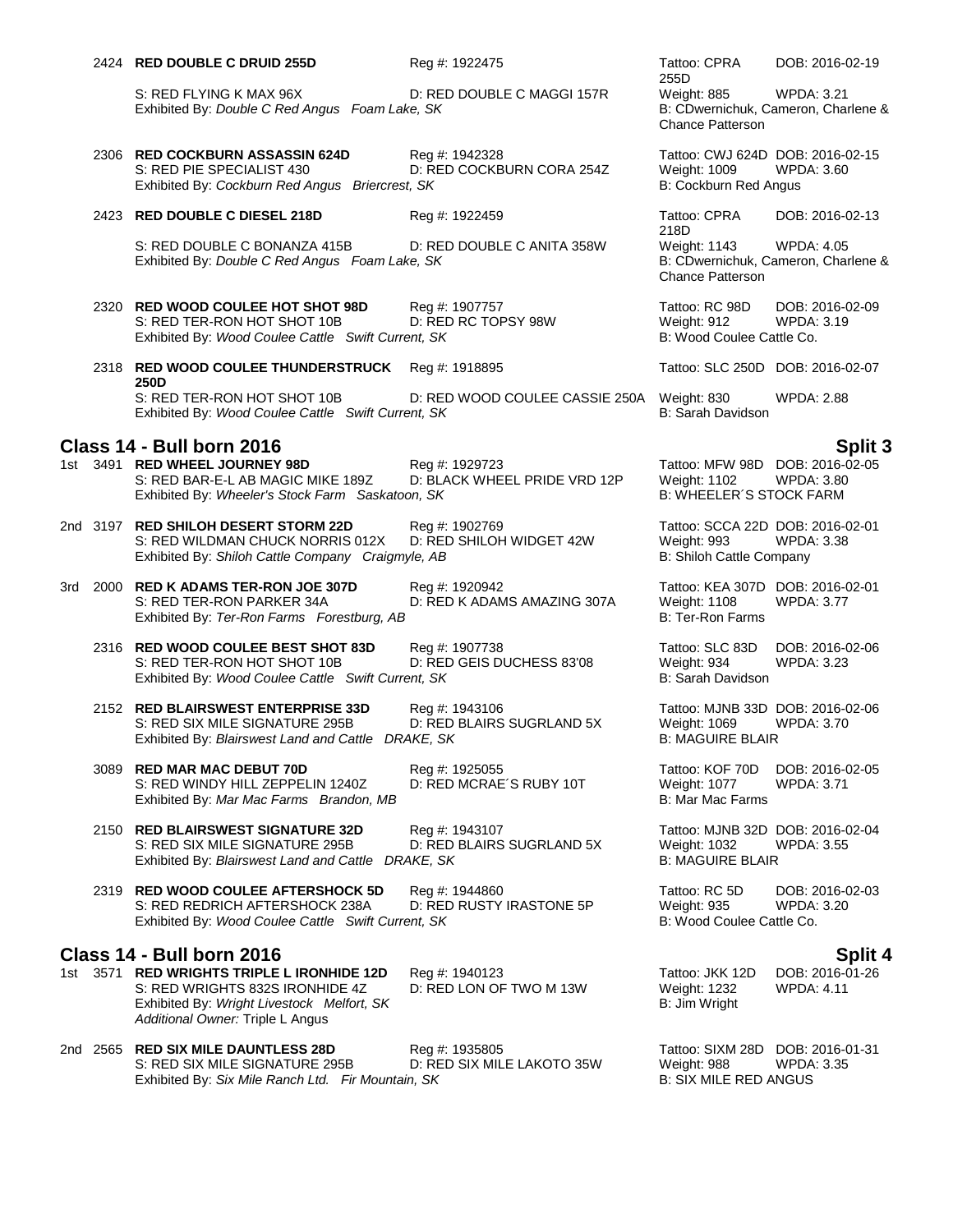|  | 2424 RED DOUBLE C DRUID 255D                                                                                                                                    | Reg #: 1922475                                           | Tattoo: CPRA                                                                             | DOB: 2016-02-19                                          |
|--|-----------------------------------------------------------------------------------------------------------------------------------------------------------------|----------------------------------------------------------|------------------------------------------------------------------------------------------|----------------------------------------------------------|
|  | S: RED FLYING K MAX 96X<br>Exhibited By: Double C Red Angus Foam Lake, SK                                                                                       | D: RED DOUBLE C MAGGI 157R                               | 255D<br>Weight: 885<br><b>Chance Patterson</b>                                           | <b>WPDA: 3.21</b><br>B: CDwernichuk, Cameron, Charlene & |
|  | 2306 RED COCKBURN ASSASSIN 624D<br>S: RED PIE SPECIALIST 430<br>Exhibited By: Cockburn Red Angus Briercrest, SK                                                 | Reg #: 1942328<br>D: RED COCKBURN CORA 254Z              | Tattoo: CWJ 624D DOB: 2016-02-15<br><b>Weight: 1009</b><br>B: Cockburn Red Angus         | <b>WPDA: 3.60</b>                                        |
|  | 2423 RED DOUBLE C DIESEL 218D                                                                                                                                   | Reg #: 1922459                                           | Tattoo: CPRA<br>218D                                                                     | DOB: 2016-02-13                                          |
|  | S: RED DOUBLE C BONANZA 415B<br>Exhibited By: Double C Red Angus Foam Lake, SK                                                                                  | D: RED DOUBLE C ANITA 358W                               | Weight: 1143<br>Chance Patterson                                                         | <b>WPDA: 4.05</b><br>B: CDwernichuk, Cameron, Charlene & |
|  | 2320 RED WOOD COULEE HOT SHOT 98D<br>S: RED TER-RON HOT SHOT 10B<br>Exhibited By: Wood Coulee Cattle Swift Current, SK                                          | Reg #: 1907757<br>D: RED RC TOPSY 98W                    | Tattoo: RC 98D<br>Weight: 912<br>B: Wood Coulee Cattle Co.                               | DOB: 2016-02-09<br>WPDA: 3.19                            |
|  | 2318 RED WOOD COULEE THUNDERSTRUCK<br>250D                                                                                                                      | Reg #: 1918895                                           | Tattoo: SLC 250D DOB: 2016-02-07                                                         |                                                          |
|  | S: RED TER-RON HOT SHOT 10B<br>Exhibited By: Wood Coulee Cattle Swift Current, SK                                                                               | D: RED WOOD COULEE CASSIE 250A                           | Weight: 830<br>B: Sarah Davidson                                                         | <b>WPDA: 2.88</b>                                        |
|  | Class 14 - Bull born 2016                                                                                                                                       |                                                          |                                                                                          | Split 3                                                  |
|  | 1st 3491 RED WHEEL JOURNEY 98D<br>S: RED BAR-E-L AB MAGIC MIKE 189Z<br>Exhibited By: Wheeler's Stock Farm Saskatoon, SK                                         | Reg #: 1929723<br>D: BLACK WHEEL PRIDE VRD 12P           | Tattoo: MFW 98D DOB: 2016-02-05<br><b>Weight: 1102</b><br><b>B: WHEELER'S STOCK FARM</b> | <b>WPDA: 3.80</b>                                        |
|  | 2nd 3197 RED SHILOH DESERT STORM 22D<br>S: RED WILDMAN CHUCK NORRIS 012X<br>Exhibited By: Shiloh Cattle Company Craigmyle, AB                                   | Reg #: 1902769<br>D: RED SHILOH WIDGET 42W               | Tattoo: SCCA 22D DOB: 2016-02-01<br>Weight: 993<br>B: Shiloh Cattle Company              | <b>WPDA: 3.38</b>                                        |
|  | 3rd 2000 RED K ADAMS TER-RON JOE 307D<br>S: RED TER-RON PARKER 34A<br>Exhibited By: Ter-Ron Farms Forestburg, AB                                                | Reg #: 1920942<br>D: RED K ADAMS AMAZING 307A            | Tattoo: KEA 307D DOB: 2016-02-01<br><b>Weight: 1108</b><br>B: Ter-Ron Farms              | <b>WPDA: 3.77</b>                                        |
|  | 2316 RED WOOD COULEE BEST SHOT 83D<br>S: RED TER-RON HOT SHOT 10B<br>Exhibited By: Wood Coulee Cattle Swift Current, SK                                         | Reg #: 1907738<br>D: RED GEIS DUCHESS 83'08              | Tattoo: SLC 83D<br>Weight: 934<br>B: Sarah Davidson                                      | DOB: 2016-02-06<br><b>WPDA: 3.23</b>                     |
|  | 2152 RED BLAIRSWEST ENTERPRISE 33D<br>S: RED SIX MILE SIGNATURE 295B<br>Exhibited By: Blairswest Land and Cattle DRAKE, SK                                      | Reg #: 1943106<br>D: RED BLAIRS SUGRLAND 5X              | Tattoo: MJNB 33D DOB: 2016-02-06<br><b>Weight: 1069</b><br><b>B: MAGUIRE BLAIR</b>       | <b>WPDA: 3.70</b>                                        |
|  | 3089 RED MAR MAC DEBUT 70D<br>S: RED WINDY HILL ZEPPELIN 1240Z<br>Exhibited By: Mar Mac Farms Brandon, MB                                                       | Reg #: 1925055<br>D: RED MCRAE'S RUBY 10T                | Tattoo: KOF 70D<br>Weight: 1077<br>B: Mar Mac Farms                                      | DOB: 2016-02-05<br><b>WPDA: 3.71</b>                     |
|  | 2150 RED BLAIRSWEST SIGNATURE 32D<br>S: RED SIX MILE SIGNATURE 295B<br>Exhibited By: Blairswest Land and Cattle                                                 | Reg #: 1943107<br>D: RED BLAIRS SUGRLAND 5X<br>DRAKE, SK | Tattoo: MJNB 32D DOB: 2016-02-04<br><b>Weight: 1032</b><br><b>B: MAGUIRE BLAIR</b>       | <b>WPDA: 3.55</b>                                        |
|  | 2319 RED WOOD COULEE AFTERSHOCK 5D<br>S: RED REDRICH AFTERSHOCK 238A<br>Exhibited By: Wood Coulee Cattle Swift Current, SK                                      | Reg #: 1944860<br>D: RED RUSTY IRASTONE 5P               | Tattoo: RC 5D<br>Weight: 935<br>B: Wood Coulee Cattle Co.                                | DOB: 2016-02-03<br><b>WPDA: 3.20</b>                     |
|  | Class 14 - Bull born 2016                                                                                                                                       |                                                          |                                                                                          | Split 4                                                  |
|  | 1st 3571 RED WRIGHTS TRIPLE L IRONHIDE 12D<br>S: RED WRIGHTS 832S IRONHIDE 4Z<br>Exhibited By: Wright Livestock Melfort, SK<br>Additional Owner: Triple L Angus | Reg #: 1940123<br>D: RED LON OF TWO M 13W                | Tattoo: JKK 12D<br>Weight: 1232<br>B: Jim Wright                                         | DOB: 2016-01-26<br><b>WPDA: 4.11</b>                     |
|  | 2nd 2565 RED SIX MILE DAUNTLESS 28D<br>S: RED SIX MILE SIGNATURE 295B                                                                                           | Reg #: 1935805<br>D: RED SIX MILE LAKOTO 35W             | Tattoo: SIXM 28D<br>Weight: 988                                                          | DOB: 2016-01-31<br>WPDA: 3.35                            |

Exhibited By: *Six Mile Ranch Ltd. Fir Mountain, SK* B: SIX MILE RED ANGUS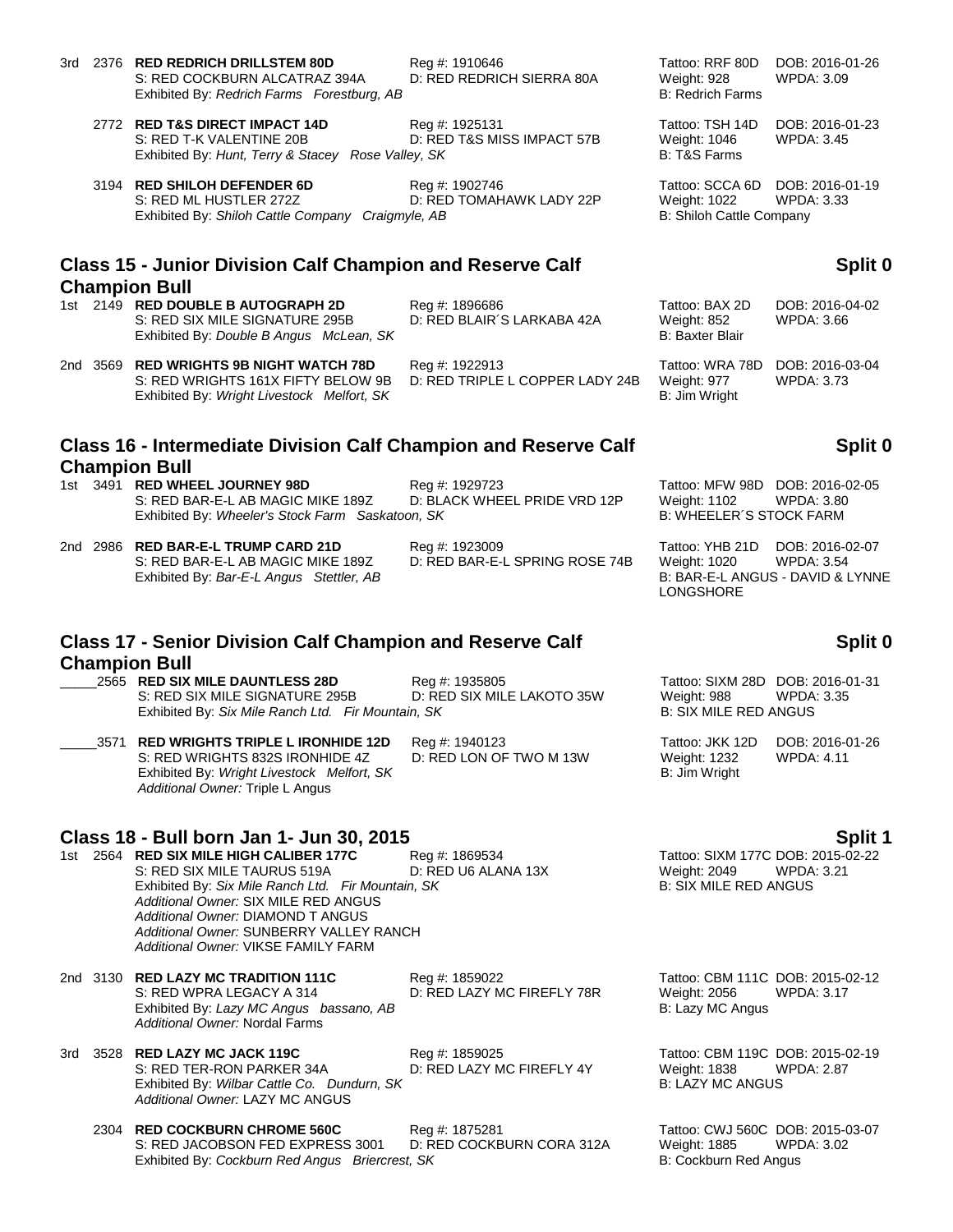- 3rd 2376 **RED REDRICH DRILLSTEM 80D** Reg #: 1910646 **Tattoo: RRF 80D DOB: 2016-01-26** RS: RED COCKBURN ALCATRAZ 394A D: RED REDRICH SIERRA 80A Weight: 928 WPDA: 3.09 S: RED COCKBURN ALCATRAZ 394A D: RED REDRICH SIERRA 80A Weight: 928 Exhibited By: *Redrich Farms Forestburg, AB* B: Redrich Farms **B: Redrich Farms** 
	- 2772 **RED T&S DIRECT IMPACT 14D** Reg #: 1925131 Tattoo: TSH 14D DOB: 2016-01-23 S: RED T-K VALENTINE 20B D: RED T&S MISS IMPACT 57B Weight: 1046 WPDA: 3.45 Exhibited By: *Hunt, Terry & Stacey Rose Valley, SK* B: T&S Farms
	- 3194 **RED SHILOH DEFENDER 6D** Req #: 1902746 Tattoo: SCCA 6D DOB: 2016-01-19 S: RED ML HUSTLER 272Z D: RED TOMAHAWK LADY 22P Weight: 1022 WPDA: 3.33 Exhibited By: *Shiloh Cattle Company Craigmyle, AB* B: Shiloh Cattle Company Craigmyle, AB

# **Class 15 - Junior Division Calf Champion and Reserve Calf Champion Bull**

- 1st 2149 **RED DOUBLE B AUTOGRAPH 2D** Reg #: 1896686 Tattoo: BAX 2D DOB: 2016-04-02 S: RED SIX MILE SIGNATURE 295B D: RED BLAIR´S LARKABA 42A Weight: 852 WPDA: 3.66 Exhibited By: *Double B Angus McLean, SK* B: Baxter Blair
	-
- 2nd 3569 **RED WRIGHTS 9B NIGHT WATCH 78D** Reg #: 1922913 Tattoo: WRA 78D DOB: 2016-03-04 S: RED WRIGHTS 161X FIFTY BELOW 9B D: RED TRIPLE L COPPER LADY 24B Weight: 977 WPDA: 3.73 Exhibited By: *Wright Livestock Melfort, SK* B: Jim Wright

## **Class 16 - Intermediate Division Calf Champion and Reserve Calf Champion Bull**

1st 3491 **RED WHEEL JOURNEY 98D** Reg #: 1929723 Tattoo: MFW 98D DOB: 2016-02-05 S: RED BAR-E-L AB MAGIC MIKE 189Z D: BLACK WHEEL PRIDE VRD 12P Weight: 1102 WPDA: 3.80 Exhibited By: Wheeler's Stock Farm Saskatoon, SK B: WHEELER<sup>'S</sup> STOCK FARM

2nd 2986 **RED BAR-E-L TRUMP CARD 21D** Reg #: 1923009 Tattoo: YHB 21D DOB: 2016-02-07

S: RED BAR-E-L AB MAGIC MIKE 189Z D: RED BAR-E-L SPRING ROSE 74B Weight: 1020 WPDA: 3.54<br>Exhibited By: Bar-E-L Angus Stettler, AB B: BAR-E-L ANGUS - DAVID & LYNNE Exhibited By: Bar-E-L Angus Stettler, AB

### **Class 17 - Senior Division Calf Champion and Reserve Calf Champion Bull**

\_\_\_\_\_2565 **RED SIX MILE DAUNTLESS 28D** Reg #: 1935805 Tattoo: SIXM 28D DOB: 2016-01-31 S: RED SIX MILE SIGNATURE 295B D: RED SIX MILE LAKOTO 35W Weight: 988 WPDA: 3.35<br>Exhibited By: Six Mile Ranch Ltd. Fir Mountain. SK B: SIX MILE RED ANGUS Exhibited By: Six Mile Ranch Ltd. Fir Mountain, SK

\_\_\_\_\_3571 **RED WRIGHTS TRIPLE L IRONHIDE 12D** Reg #: 1940123 Tattoo: JKK 12D DOB: 2016-01-26 S: RED WRIGHTS 832S IRONHIDE 4Z D: RED LON OF TWO M 13W Weight: 1232<br>Exhibited By: Wright Livestock Melfort, SK B: Jim Wright Exhibited By: Wright Livestock Melfort, SK *Additional Owner:* Triple L Angus

### **Class 18 - Bull born Jan 1- Jun 30, 2015 Split 1**

1st 2564 **RED SIX MILE HIGH CALIBER 177C** Reg #: 1869534 Tattoo: SIXM 177C DOB: 2015-02-22 S: RED SIX MILE TAURUS 519A D: RED U6 ALANA 13X Weight: 2049 WPDA: 3.21 Exhibited By: Six Mile Ranch Ltd. Fir Mountain, SK B: SIX MILE RED ANGUS *Additional Owner:* SIX MILE RED ANGUS *Additional Owner:* DIAMOND T ANGUS *Additional Owner:* SUNBERRY VALLEY RANCH *Additional Owner:* VIKSE FAMILY FARM

2nd 3130 **RED LAZY MC TRADITION 111C** Reg #: 1859022 Tattoo: CBM 111C DOB: 2015-02-12 S: RED WPRA LEGACY A 314 D: RED LAZY MC FIREFLY 78R Weight: 2056 WPDA: 3.17 Exhibited By: *Lazy MC Angus bassano, AB* B: Lazy MC Angus bassano, AB *Additional Owner:* Nordal Farms

- 3rd 3528 **RED LAZY MC JACK 119C** Reg #: 1859025 Tattoo: CBM 119C DOB: 2015-02-19 Exhibited By: Wilbar Cattle Co. Dundurn, SK *Additional Owner:* LAZY MC ANGUS
	- 2304 **RED COCKBURN CHROME 560C** Reg #: 1875281 Tattoo: CWJ 560C DOB: 2015-03-07 S: RED JACOBSON FED EXPRESS 3001 D: RED COCKBURN CORA 312A Weight: 1885 WPDA: 3.02<br>Exhibited By: Cockburn Red Angus Briercrest, SK B: Cockburn Red Angus Exhibited By: Cockburn Red Angus Briercrest, SK

## **Split 0**

# **Split 0**

LONGSHORE

# **Split 0**

D: RED LAZY MC FIREFLY 4Y Weight: 1838 W<br>B: LAZY MC ANGUS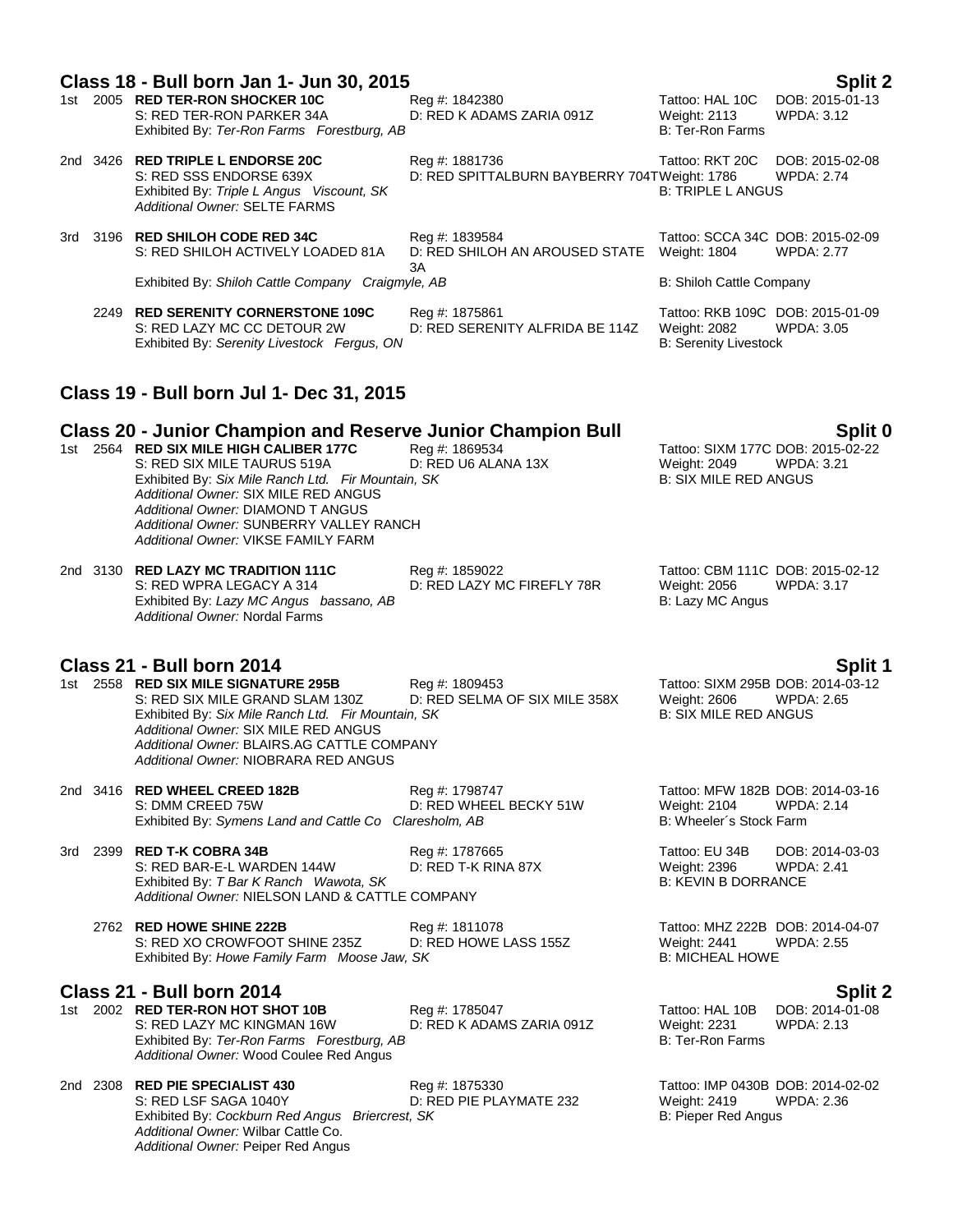| Split 2<br>Class 18 - Bull born Jan 1- Jun 30, 2015 |  |                                                                                                                                                                                                                                                                                                                                                                   |                                                                |                                                                                   |                                      |  |
|-----------------------------------------------------|--|-------------------------------------------------------------------------------------------------------------------------------------------------------------------------------------------------------------------------------------------------------------------------------------------------------------------------------------------------------------------|----------------------------------------------------------------|-----------------------------------------------------------------------------------|--------------------------------------|--|
|                                                     |  | 1st 2005 RED TER-RON SHOCKER 10C<br>S: RED TER-RON PARKER 34A<br>Exhibited By: Ter-Ron Farms Forestburg, AB                                                                                                                                                                                                                                                       | Reg #: 1842380<br>D: RED K ADAMS ZARIA 091Z                    | Tattoo: HAL 10C<br><b>Weight: 2113</b><br><b>B: Ter-Ron Farms</b>                 | DOB: 2015-01-13<br>WPDA: 3.12        |  |
|                                                     |  | 2nd 3426 RED TRIPLE L ENDORSE 20C<br>S: RED SSS ENDORSE 639X<br>Exhibited By: Triple L Angus Viscount, SK<br>Additional Owner: SELTE FARMS                                                                                                                                                                                                                        | Reg #: 1881736<br>D: RED SPITTALBURN BAYBERRY 704TWeight: 1786 | Tattoo: RKT 20C<br><b>B: TRIPLE L ANGUS</b>                                       | DOB: 2015-02-08<br><b>WPDA: 2.74</b> |  |
|                                                     |  | 3rd 3196 RED SHILOH CODE RED 34C<br>S: RED SHILOH ACTIVELY LOADED 81A                                                                                                                                                                                                                                                                                             | Reg #: 1839584<br>D: RED SHILOH AN AROUSED STATE<br>ЗA         | Tattoo: SCCA 34C DOB: 2015-02-09<br><b>Weight: 1804</b>                           | <b>WPDA: 2.77</b>                    |  |
|                                                     |  | Exhibited By: Shiloh Cattle Company Craigmyle, AB                                                                                                                                                                                                                                                                                                                 |                                                                | B: Shiloh Cattle Company                                                          |                                      |  |
|                                                     |  | 2249 RED SERENITY CORNERSTONE 109C<br>S: RED LAZY MC CC DETOUR 2W<br>Exhibited By: Serenity Livestock Fergus, ON                                                                                                                                                                                                                                                  | Reg #: 1875861<br>D: RED SERENITY ALFRIDA BE 114Z              | Tattoo: RKB 109C DOB: 2015-01-09<br>Weight: 2082<br><b>B: Serenity Livestock</b>  | <b>WPDA: 3.05</b>                    |  |
|                                                     |  | Class 19 - Bull born Jul 1- Dec 31, 2015                                                                                                                                                                                                                                                                                                                          |                                                                |                                                                                   |                                      |  |
|                                                     |  | <b>Class 20 - Junior Champion and Reserve Junior Champion Bull</b><br>1st 2564 RED SIX MILE HIGH CALIBER 177C<br>S: RED SIX MILE TAURUS 519A<br>Exhibited By: Six Mile Ranch Ltd. Fir Mountain, SK<br>Additional Owner: SIX MILE RED ANGUS<br>Additional Owner: DIAMOND T ANGUS<br>Additional Owner: SUNBERRY VALLEY RANCH<br>Additional Owner: VIKSE FAMILY FARM | Reg #: 1869534<br>D: RED U6 ALANA 13X                          | Tattoo: SIXM 177C DOB: 2015-02-22<br>Weight: 2049<br><b>B: SIX MILE RED ANGUS</b> | Split 0<br>WPDA: 3.21                |  |
|                                                     |  | 2nd 3130 RED LAZY MC TRADITION 111C<br>S: RED WPRA LEGACY A 314<br>Exhibited By: Lazy MC Angus bassano, AB<br>Additional Owner: Nordal Farms                                                                                                                                                                                                                      | Reg #: 1859022<br>D: RED LAZY MC FIREFLY 78R                   | Tattoo: CBM 111C DOB: 2015-02-12<br>Weight: 2056<br>B: Lazy MC Angus              | WPDA: 3.17                           |  |
|                                                     |  | Class 21 - Bull born 2014                                                                                                                                                                                                                                                                                                                                         |                                                                |                                                                                   |                                      |  |
|                                                     |  | 1st 2558 RED SIX MILE SIGNATURE 295B<br>S: RED SIX MILE GRAND SLAM 130Z<br>Exhibited By: Six Mile Ranch Ltd. Fir Mountain, SK<br>Additional Owner: SIX MILE RED ANGUS<br>Additional Owner: BLAIRS.AG CATTLE COMPANY<br>Additional Owner: NIOBRARA RED ANGUS                                                                                                       | Reg #: 1809453<br>D: RED SELMA OF SIX MILE 358X                | Tattoo: SIXM 295B DOB: 2014-03-12<br>Weight: 2606<br><b>B: SIX MILE RED ANGUS</b> | Split 1<br><b>WPDA: 2.65</b>         |  |
|                                                     |  | 2nd 3416 RED WHEEL CREED 182B<br>S: DMM CREED 75W<br>Exhibited By: Symens Land and Cattle Co Claresholm, AB                                                                                                                                                                                                                                                       | Reg #: 1798747<br>D: RED WHEEL BECKY 51W                       | Tattoo: MFW 182B DOB: 2014-03-16<br>Weight: 2104<br>B: Wheeler's Stock Farm       | <b>WPDA: 2.14</b>                    |  |
| 3rd                                                 |  | 2399 RED T-K COBRA 34B<br>S: RED BAR-E-L WARDEN 144W<br>Exhibited By: T Bar K Ranch Wawota, SK<br>Additional Owner: NIELSON LAND & CATTLE COMPANY                                                                                                                                                                                                                 | Reg #: 1787665<br>D: RED T-K RINA 87X                          | Tattoo: EU 34B<br>Weight: 2396<br><b>B: KEVIN B DORRANCE</b>                      | DOB: 2014-03-03<br><b>WPDA: 2.41</b> |  |
|                                                     |  | 2762 RED HOWE SHINE 222B<br>S: RED XO CROWFOOT SHINE 235Z<br>Exhibited By: Howe Family Farm Moose Jaw, SK                                                                                                                                                                                                                                                         | Reg #: 1811078<br>D: RED HOWE LASS 155Z                        | Tattoo: MHZ 222B DOB: 2014-04-07<br>Weight: 2441<br><b>B: MICHEAL HOWE</b>        | WPDA: 2.55                           |  |
|                                                     |  | Class 21 - Bull born 2014                                                                                                                                                                                                                                                                                                                                         |                                                                |                                                                                   | Split 2                              |  |
|                                                     |  | 1st 2002 RED TER-RON HOT SHOT 10B<br>S: RED LAZY MC KINGMAN 16W<br>Exhibited By: Ter-Ron Farms Forestburg, AB<br>Additional Owner: Wood Coulee Red Angus                                                                                                                                                                                                          | Reg #: 1785047<br>D: RED K ADAMS ZARIA 091Z                    | Tattoo: HAL 10B<br><b>Weight: 2231</b><br><b>B: Ter-Ron Farms</b>                 | DOB: 2014-01-08<br><b>WPDA: 2.13</b> |  |
|                                                     |  | 2nd 2308 RED PIE SPECIALIST 430<br>S: RED LSF SAGA 1040Y<br>Exhibited By: Cockburn Red Angus Briercrest, SK<br>Additional Owner: Wilbar Cattle Co.<br>Additional Owner: Peiper Red Angus                                                                                                                                                                          | Reg #: 1875330<br>D: RED PIE PLAYMATE 232                      | Tattoo: IMP 0430B DOB: 2014-02-02<br>Weight: 2419<br>B: Pieper Red Angus          | <b>WPDA: 2.36</b>                    |  |